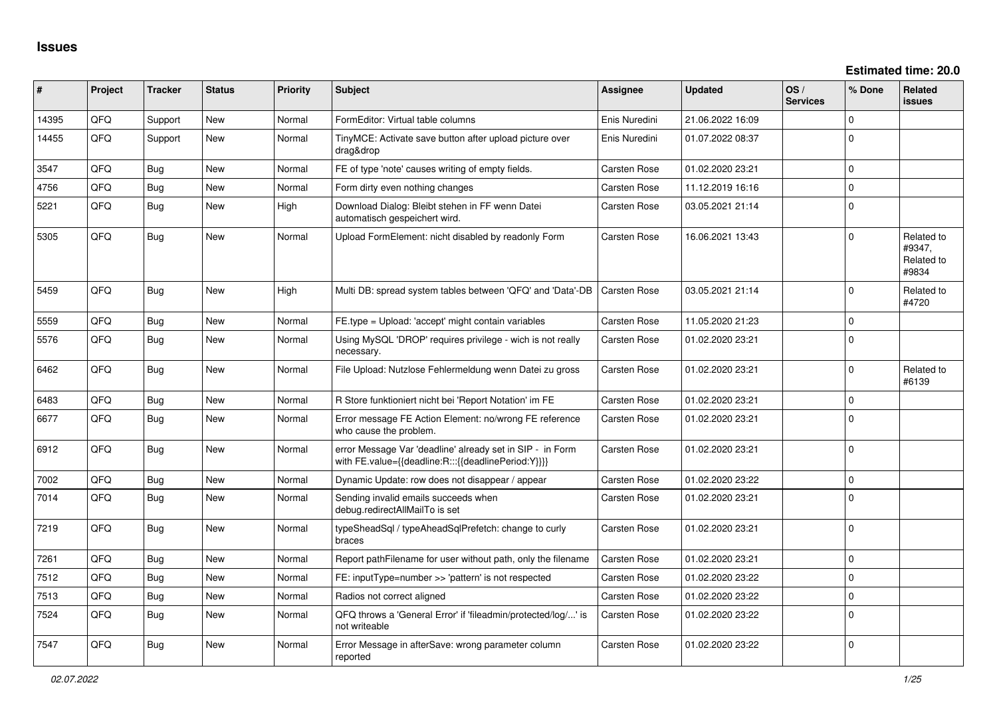| ∥ #   | Project | <b>Tracker</b> | <b>Status</b> | <b>Priority</b> | <b>Subject</b>                                                                                                   | <b>Assignee</b>     | <b>Updated</b>   | OS/<br><b>Services</b> | % Done         | Related<br>issues                           |
|-------|---------|----------------|---------------|-----------------|------------------------------------------------------------------------------------------------------------------|---------------------|------------------|------------------------|----------------|---------------------------------------------|
| 14395 | QFQ     | Support        | New           | Normal          | FormEditor: Virtual table columns                                                                                | Enis Nuredini       | 21.06.2022 16:09 |                        | 0              |                                             |
| 14455 | QFQ     | Support        | New           | Normal          | TinyMCE: Activate save button after upload picture over<br>drag&drop                                             | Enis Nuredini       | 01.07.2022 08:37 |                        | $\mathbf 0$    |                                             |
| 3547  | QFQ     | Bug            | New           | Normal          | FE of type 'note' causes writing of empty fields.                                                                | Carsten Rose        | 01.02.2020 23:21 |                        | $\mathbf 0$    |                                             |
| 4756  | QFQ     | Bug            | <b>New</b>    | Normal          | Form dirty even nothing changes                                                                                  | Carsten Rose        | 11.12.2019 16:16 |                        | $\mathbf 0$    |                                             |
| 5221  | QFQ.    | Bug            | New           | High            | Download Dialog: Bleibt stehen in FF wenn Datei<br>automatisch gespeichert wird.                                 | Carsten Rose        | 03.05.2021 21:14 |                        | $\Omega$       |                                             |
| 5305  | QFQ     | <b>Bug</b>     | New           | Normal          | Upload FormElement: nicht disabled by readonly Form                                                              | Carsten Rose        | 16.06.2021 13:43 |                        | $\Omega$       | Related to<br>#9347.<br>Related to<br>#9834 |
| 5459  | QFQ     | Bug            | <b>New</b>    | High            | Multi DB: spread system tables between 'QFQ' and 'Data'-DB                                                       | <b>Carsten Rose</b> | 03.05.2021 21:14 |                        | $\Omega$       | Related to<br>#4720                         |
| 5559  | QFQ     | <b>Bug</b>     | <b>New</b>    | Normal          | FE.type = Upload: 'accept' might contain variables                                                               | Carsten Rose        | 11.05.2020 21:23 |                        | $\mathbf 0$    |                                             |
| 5576  | QFQ     | Bug            | New           | Normal          | Using MySQL 'DROP' requires privilege - wich is not really<br>necessary.                                         | Carsten Rose        | 01.02.2020 23:21 |                        | $\mathbf 0$    |                                             |
| 6462  | QFQ     | <b>Bug</b>     | <b>New</b>    | Normal          | File Upload: Nutzlose Fehlermeldung wenn Datei zu gross                                                          | Carsten Rose        | 01.02.2020 23:21 |                        | $\Omega$       | Related to<br>#6139                         |
| 6483  | QFQ     | Bug            | <b>New</b>    | Normal          | R Store funktioniert nicht bei 'Report Notation' im FE                                                           | Carsten Rose        | 01.02.2020 23:21 |                        | $\Omega$       |                                             |
| 6677  | QFQ     | Bug            | <b>New</b>    | Normal          | Error message FE Action Element: no/wrong FE reference<br>who cause the problem.                                 | Carsten Rose        | 01.02.2020 23:21 |                        | $\mathbf 0$    |                                             |
| 6912  | QFQ     | Bug            | <b>New</b>    | Normal          | error Message Var 'deadline' already set in SIP - in Form<br>with FE.value={{deadline:R:::{{deadlinePeriod:Y}}}} | Carsten Rose        | 01.02.2020 23:21 |                        | $\Omega$       |                                             |
| 7002  | QFQ     | Bug            | New           | Normal          | Dynamic Update: row does not disappear / appear                                                                  | Carsten Rose        | 01.02.2020 23:22 |                        | $\Omega$       |                                             |
| 7014  | QFQ     | Bug            | <b>New</b>    | Normal          | Sending invalid emails succeeds when<br>debug.redirectAllMailTo is set                                           | Carsten Rose        | 01.02.2020 23:21 |                        | $\Omega$       |                                             |
| 7219  | QFQ     | Bug            | New           | Normal          | typeSheadSql / typeAheadSqlPrefetch: change to curly<br>braces                                                   | Carsten Rose        | 01.02.2020 23:21 |                        | $\Omega$       |                                             |
| 7261  | QFQ     | Bug            | New           | Normal          | Report pathFilename for user without path, only the filename                                                     | Carsten Rose        | 01.02.2020 23:21 |                        | $\overline{0}$ |                                             |
| 7512  | QFQ     | <b>Bug</b>     | New           | Normal          | FE: inputType=number >> 'pattern' is not respected                                                               | Carsten Rose        | 01.02.2020 23:22 |                        | $\Omega$       |                                             |
| 7513  | QFQ     | Bug            | New           | Normal          | Radios not correct aligned                                                                                       | Carsten Rose        | 01.02.2020 23:22 |                        | $\Omega$       |                                             |
| 7524  | QFQ     | <b>Bug</b>     | <b>New</b>    | Normal          | QFQ throws a 'General Error' if 'fileadmin/protected/log/' is<br>not writeable                                   | Carsten Rose        | 01.02.2020 23:22 |                        | $\Omega$       |                                             |
| 7547  | QFQ     | Bug            | New           | Normal          | Error Message in afterSave: wrong parameter column<br>reported                                                   | Carsten Rose        | 01.02.2020 23:22 |                        | $\Omega$       |                                             |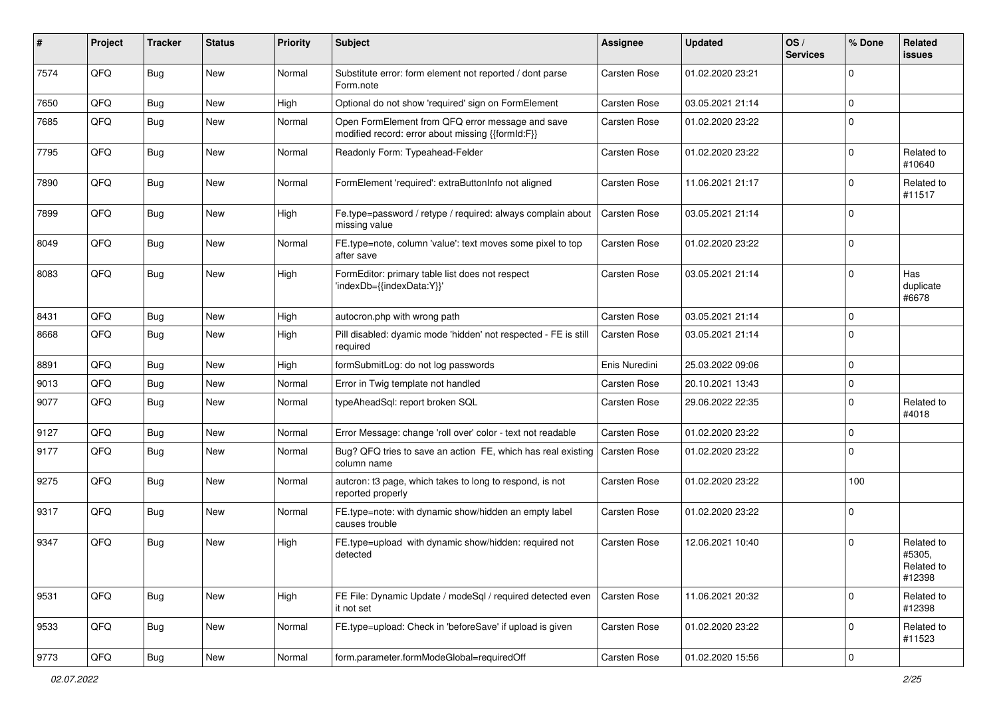| #    | Project | <b>Tracker</b> | <b>Status</b> | <b>Priority</b> | Subject                                                                                               | <b>Assignee</b>     | <b>Updated</b>   | OS/<br><b>Services</b> | % Done      | <b>Related</b><br>issues                     |
|------|---------|----------------|---------------|-----------------|-------------------------------------------------------------------------------------------------------|---------------------|------------------|------------------------|-------------|----------------------------------------------|
| 7574 | QFQ     | <b>Bug</b>     | New           | Normal          | Substitute error: form element not reported / dont parse<br>Form.note                                 | Carsten Rose        | 01.02.2020 23:21 |                        | $\Omega$    |                                              |
| 7650 | QFQ     | <b>Bug</b>     | New           | High            | Optional do not show 'required' sign on FormElement                                                   | Carsten Rose        | 03.05.2021 21:14 |                        | $\mathbf 0$ |                                              |
| 7685 | QFQ     | <b>Bug</b>     | New           | Normal          | Open FormElement from QFQ error message and save<br>modified record: error about missing {{formId:F}} | Carsten Rose        | 01.02.2020 23:22 |                        | $\mathbf 0$ |                                              |
| 7795 | QFQ     | <b>Bug</b>     | New           | Normal          | Readonly Form: Typeahead-Felder                                                                       | Carsten Rose        | 01.02.2020 23:22 |                        | $\mathbf 0$ | Related to<br>#10640                         |
| 7890 | QFQ     | <b>Bug</b>     | New           | Normal          | FormElement 'required': extraButtonInfo not aligned                                                   | Carsten Rose        | 11.06.2021 21:17 |                        | $\Omega$    | Related to<br>#11517                         |
| 7899 | QFQ     | Bug            | New           | High            | Fe.type=password / retype / required: always complain about<br>missing value                          | Carsten Rose        | 03.05.2021 21:14 |                        | $\mathbf 0$ |                                              |
| 8049 | QFQ     | <b>Bug</b>     | New           | Normal          | FE.type=note, column 'value': text moves some pixel to top<br>after save                              | <b>Carsten Rose</b> | 01.02.2020 23:22 |                        | $\mathbf 0$ |                                              |
| 8083 | QFQ     | Bug            | New           | High            | FormEditor: primary table list does not respect<br>'indexDb={{indexData:Y}}'                          | Carsten Rose        | 03.05.2021 21:14 |                        | $\mathbf 0$ | Has<br>duplicate<br>#6678                    |
| 8431 | QFQ     | <b>Bug</b>     | New           | High            | autocron.php with wrong path                                                                          | Carsten Rose        | 03.05.2021 21:14 |                        | $\mathbf 0$ |                                              |
| 8668 | QFQ     | <b>Bug</b>     | New           | High            | Pill disabled: dyamic mode 'hidden' not respected - FE is still<br>required                           | Carsten Rose        | 03.05.2021 21:14 |                        | $\Omega$    |                                              |
| 8891 | QFQ     | <b>Bug</b>     | New           | High            | formSubmitLog: do not log passwords                                                                   | Enis Nuredini       | 25.03.2022 09:06 |                        | $\mathbf 0$ |                                              |
| 9013 | QFQ     | <b>Bug</b>     | New           | Normal          | Error in Twig template not handled                                                                    | <b>Carsten Rose</b> | 20.10.2021 13:43 |                        | $\mathbf 0$ |                                              |
| 9077 | QFQ     | <b>Bug</b>     | New           | Normal          | typeAheadSql: report broken SQL                                                                       | <b>Carsten Rose</b> | 29.06.2022 22:35 |                        | $\mathbf 0$ | Related to<br>#4018                          |
| 9127 | QFQ     | <b>Bug</b>     | New           | Normal          | Error Message: change 'roll over' color - text not readable                                           | Carsten Rose        | 01.02.2020 23:22 |                        | $\mathbf 0$ |                                              |
| 9177 | QFQ     | <b>Bug</b>     | New           | Normal          | Bug? QFQ tries to save an action FE, which has real existing<br>column name                           | <b>Carsten Rose</b> | 01.02.2020 23:22 |                        | $\mathbf 0$ |                                              |
| 9275 | QFQ     | <b>Bug</b>     | New           | Normal          | autcron: t3 page, which takes to long to respond, is not<br>reported properly                         | Carsten Rose        | 01.02.2020 23:22 |                        | 100         |                                              |
| 9317 | QFQ     | Bug            | New           | Normal          | FE.type=note: with dynamic show/hidden an empty label<br>causes trouble                               | Carsten Rose        | 01.02.2020 23:22 |                        | $\mathbf 0$ |                                              |
| 9347 | QFQ     | <b>Bug</b>     | New           | High            | FE.type=upload with dynamic show/hidden: required not<br>detected                                     | <b>Carsten Rose</b> | 12.06.2021 10:40 |                        | $\mathbf 0$ | Related to<br>#5305,<br>Related to<br>#12398 |
| 9531 | QFQ     | <b>Bug</b>     | New           | High            | FE File: Dynamic Update / modeSql / required detected even<br>it not set                              | Carsten Rose        | 11.06.2021 20:32 |                        | $\mathbf 0$ | Related to<br>#12398                         |
| 9533 | QFQ     | Bug            | New           | Normal          | FE.type=upload: Check in 'beforeSave' if upload is given                                              | Carsten Rose        | 01.02.2020 23:22 |                        | $\mathbf 0$ | Related to<br>#11523                         |
| 9773 | QFQ     | Bug            | New           | Normal          | form.parameter.formModeGlobal=requiredOff                                                             | Carsten Rose        | 01.02.2020 15:56 |                        | $\mathbf 0$ |                                              |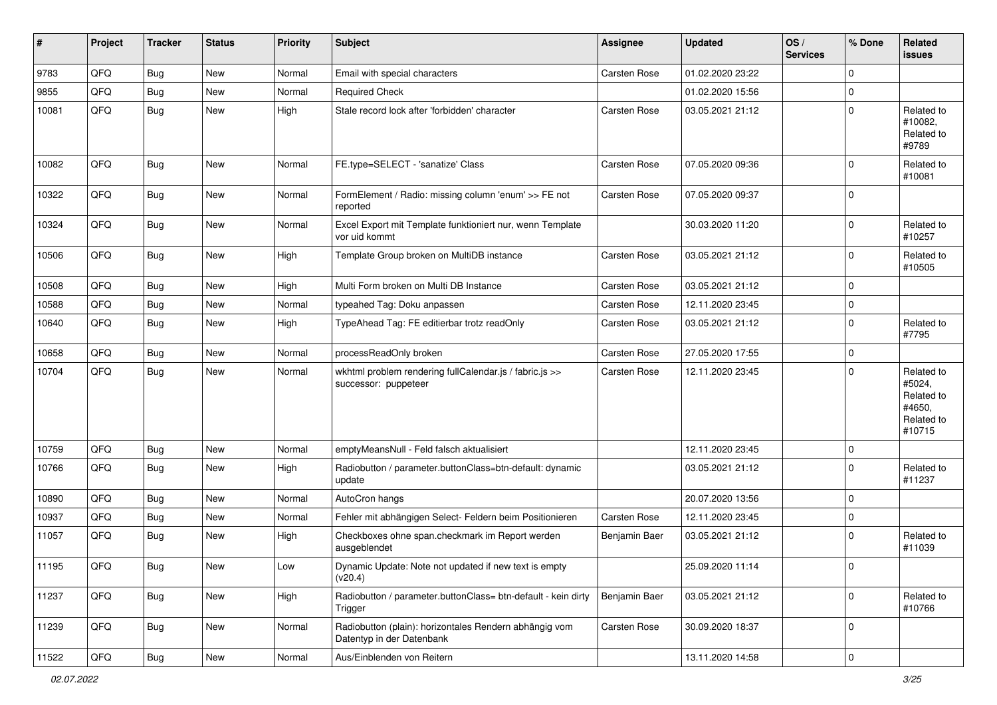| #     | Project | <b>Tracker</b> | <b>Status</b> | <b>Priority</b> | <b>Subject</b>                                                                      | Assignee      | <b>Updated</b>   | OS/<br><b>Services</b> | % Done              | Related<br>issues                                                    |
|-------|---------|----------------|---------------|-----------------|-------------------------------------------------------------------------------------|---------------|------------------|------------------------|---------------------|----------------------------------------------------------------------|
| 9783  | QFQ     | <b>Bug</b>     | New           | Normal          | Email with special characters                                                       | Carsten Rose  | 01.02.2020 23:22 |                        | $\mathbf 0$         |                                                                      |
| 9855  | QFQ     | <b>Bug</b>     | New           | Normal          | <b>Required Check</b>                                                               |               | 01.02.2020 15:56 |                        | $\mathbf 0$         |                                                                      |
| 10081 | QFQ     | <b>Bug</b>     | New           | High            | Stale record lock after 'forbidden' character                                       | Carsten Rose  | 03.05.2021 21:12 |                        | $\mathbf 0$         | Related to<br>#10082,<br>Related to<br>#9789                         |
| 10082 | QFQ     | <b>Bug</b>     | <b>New</b>    | Normal          | FE.type=SELECT - 'sanatize' Class                                                   | Carsten Rose  | 07.05.2020 09:36 |                        | $\mathbf 0$         | Related to<br>#10081                                                 |
| 10322 | QFQ     | <b>Bug</b>     | New           | Normal          | FormElement / Radio: missing column 'enum' >> FE not<br>reported                    | Carsten Rose  | 07.05.2020 09:37 |                        | $\mathbf 0$         |                                                                      |
| 10324 | QFQ     | <b>Bug</b>     | New           | Normal          | Excel Export mit Template funktioniert nur, wenn Template<br>vor uid kommt          |               | 30.03.2020 11:20 |                        | $\mathbf 0$         | Related to<br>#10257                                                 |
| 10506 | QFQ     | <b>Bug</b>     | New           | High            | Template Group broken on MultiDB instance                                           | Carsten Rose  | 03.05.2021 21:12 |                        | $\mathbf 0$         | Related to<br>#10505                                                 |
| 10508 | QFQ     | <b>Bug</b>     | New           | High            | Multi Form broken on Multi DB Instance                                              | Carsten Rose  | 03.05.2021 21:12 |                        | $\mathbf 0$         |                                                                      |
| 10588 | QFQ     | <b>Bug</b>     | New           | Normal          | typeahed Tag: Doku anpassen                                                         | Carsten Rose  | 12.11.2020 23:45 |                        | $\mathbf 0$         |                                                                      |
| 10640 | QFQ     | <b>Bug</b>     | New           | High            | TypeAhead Tag: FE editierbar trotz readOnly                                         | Carsten Rose  | 03.05.2021 21:12 |                        | $\Omega$            | Related to<br>#7795                                                  |
| 10658 | QFQ     | <b>Bug</b>     | New           | Normal          | processReadOnly broken                                                              | Carsten Rose  | 27.05.2020 17:55 |                        | $\mathbf 0$         |                                                                      |
| 10704 | QFQ     | <b>Bug</b>     | New           | Normal          | wkhtml problem rendering fullCalendar.js / fabric.js >><br>successor: puppeteer     | Carsten Rose  | 12.11.2020 23:45 |                        | $\Omega$            | Related to<br>#5024,<br>Related to<br>#4650,<br>Related to<br>#10715 |
| 10759 | QFQ     | <b>Bug</b>     | New           | Normal          | emptyMeansNull - Feld falsch aktualisiert                                           |               | 12.11.2020 23:45 |                        | $\mathbf 0$         |                                                                      |
| 10766 | QFQ     | <b>Bug</b>     | New           | High            | Radiobutton / parameter.buttonClass=btn-default: dynamic<br>update                  |               | 03.05.2021 21:12 |                        | $\mathbf 0$         | Related to<br>#11237                                                 |
| 10890 | QFQ     | <b>Bug</b>     | New           | Normal          | AutoCron hangs                                                                      |               | 20.07.2020 13:56 |                        | $\mathbf 0$         |                                                                      |
| 10937 | QFQ     | <b>Bug</b>     | New           | Normal          | Fehler mit abhängigen Select- Feldern beim Positionieren                            | Carsten Rose  | 12.11.2020 23:45 |                        | 0                   |                                                                      |
| 11057 | QFQ     | <b>Bug</b>     | New           | High            | Checkboxes ohne span.checkmark im Report werden<br>ausgeblendet                     | Benjamin Baer | 03.05.2021 21:12 |                        | $\Omega$            | Related to<br>#11039                                                 |
| 11195 | QFQ     | <b>Bug</b>     | New           | Low             | Dynamic Update: Note not updated if new text is empty<br>(v20.4)                    |               | 25.09.2020 11:14 |                        | O                   |                                                                      |
| 11237 | QFQ     | <b>Bug</b>     | New           | High            | Radiobutton / parameter.buttonClass= btn-default - kein dirty<br>Trigger            | Benjamin Baer | 03.05.2021 21:12 |                        | $\mathbf 0$         | Related to<br>#10766                                                 |
| 11239 | QFQ     | Bug            | New           | Normal          | Radiobutton (plain): horizontales Rendern abhängig vom<br>Datentyp in der Datenbank | Carsten Rose  | 30.09.2020 18:37 |                        | 0                   |                                                                      |
| 11522 | QFQ     | <b>Bug</b>     | New           | Normal          | Aus/Einblenden von Reitern                                                          |               | 13.11.2020 14:58 |                        | $\mathsf{O}\xspace$ |                                                                      |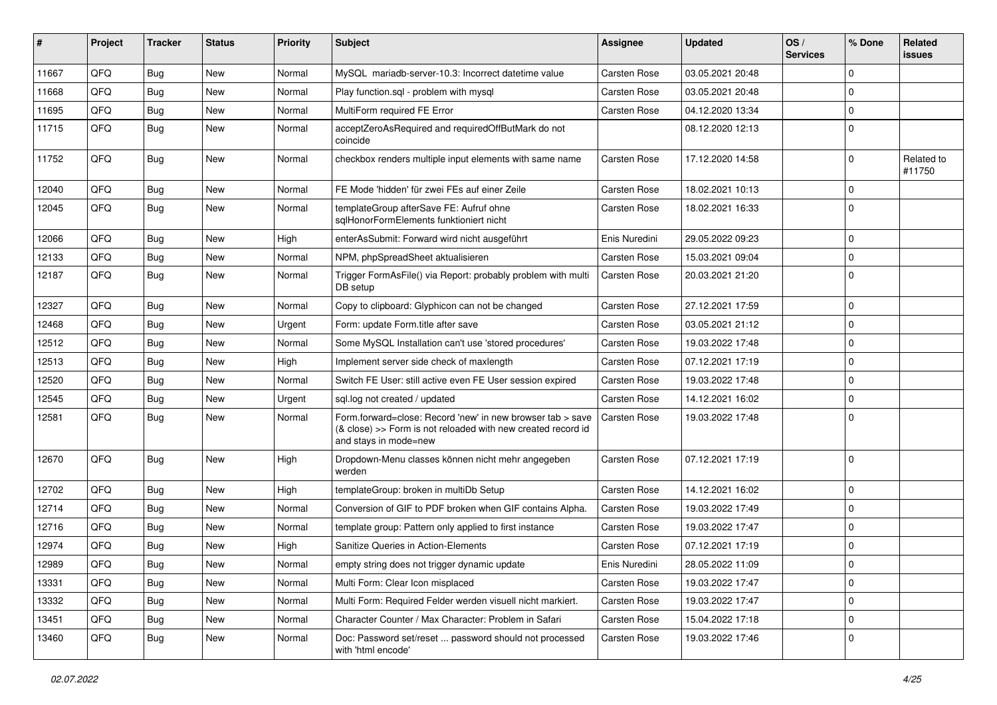| #     | Project | Tracker    | <b>Status</b> | <b>Priority</b> | Subject                                                                                                                                             | <b>Assignee</b>     | <b>Updated</b>   | OS/<br><b>Services</b> | % Done      | Related<br><b>issues</b> |
|-------|---------|------------|---------------|-----------------|-----------------------------------------------------------------------------------------------------------------------------------------------------|---------------------|------------------|------------------------|-------------|--------------------------|
| 11667 | QFQ     | Bug        | New           | Normal          | MySQL mariadb-server-10.3: Incorrect datetime value                                                                                                 | <b>Carsten Rose</b> | 03.05.2021 20:48 |                        | $\Omega$    |                          |
| 11668 | QFQ     | Bug        | New           | Normal          | Play function.sql - problem with mysql                                                                                                              | <b>Carsten Rose</b> | 03.05.2021 20:48 |                        | $\Omega$    |                          |
| 11695 | QFQ     | <b>Bug</b> | New           | Normal          | MultiForm required FE Error                                                                                                                         | Carsten Rose        | 04.12.2020 13:34 |                        | $\mathbf 0$ |                          |
| 11715 | QFQ     | <b>Bug</b> | New           | Normal          | acceptZeroAsRequired and requiredOffButMark do not<br>coincide                                                                                      |                     | 08.12.2020 12:13 |                        | $\Omega$    |                          |
| 11752 | QFQ     | Bug        | New           | Normal          | checkbox renders multiple input elements with same name                                                                                             | <b>Carsten Rose</b> | 17.12.2020 14:58 |                        | $\Omega$    | Related to<br>#11750     |
| 12040 | QFQ     | Bug        | New           | Normal          | FE Mode 'hidden' für zwei FEs auf einer Zeile                                                                                                       | Carsten Rose        | 18.02.2021 10:13 |                        | $\Omega$    |                          |
| 12045 | QFQ     | <b>Bug</b> | New           | Normal          | templateGroup afterSave FE: Aufruf ohne<br>sqlHonorFormElements funktioniert nicht                                                                  | Carsten Rose        | 18.02.2021 16:33 |                        | $\Omega$    |                          |
| 12066 | QFQ     | Bug        | New           | High            | enterAsSubmit: Forward wird nicht ausgeführt                                                                                                        | Enis Nuredini       | 29.05.2022 09:23 |                        | $\Omega$    |                          |
| 12133 | QFQ     | <b>Bug</b> | New           | Normal          | NPM, phpSpreadSheet aktualisieren                                                                                                                   | <b>Carsten Rose</b> | 15.03.2021 09:04 |                        | $\Omega$    |                          |
| 12187 | QFQ     | <b>Bug</b> | New           | Normal          | Trigger FormAsFile() via Report: probably problem with multi<br>DB setup                                                                            | <b>Carsten Rose</b> | 20.03.2021 21:20 |                        | $\Omega$    |                          |
| 12327 | QFQ     | <b>Bug</b> | New           | Normal          | Copy to clipboard: Glyphicon can not be changed                                                                                                     | Carsten Rose        | 27.12.2021 17:59 |                        | $\mathbf 0$ |                          |
| 12468 | QFQ     | <b>Bug</b> | New           | Urgent          | Form: update Form.title after save                                                                                                                  | Carsten Rose        | 03.05.2021 21:12 |                        | $\Omega$    |                          |
| 12512 | QFQ     | <b>Bug</b> | New           | Normal          | Some MySQL Installation can't use 'stored procedures'                                                                                               | <b>Carsten Rose</b> | 19.03.2022 17:48 |                        | $\Omega$    |                          |
| 12513 | QFQ     | Bug        | New           | High            | Implement server side check of maxlength                                                                                                            | <b>Carsten Rose</b> | 07.12.2021 17:19 |                        | $\Omega$    |                          |
| 12520 | QFQ     | <b>Bug</b> | New           | Normal          | Switch FE User: still active even FE User session expired                                                                                           | Carsten Rose        | 19.03.2022 17:48 |                        | $\mathbf 0$ |                          |
| 12545 | QFQ     | <b>Bug</b> | New           | Urgent          | sql.log not created / updated                                                                                                                       | <b>Carsten Rose</b> | 14.12.2021 16:02 |                        | $\mathbf 0$ |                          |
| 12581 | QFQ     | Bug        | New           | Normal          | Form.forward=close: Record 'new' in new browser tab > save<br>(& close) >> Form is not reloaded with new created record id<br>and stays in mode=new | Carsten Rose        | 19.03.2022 17:48 |                        | $\Omega$    |                          |
| 12670 | QFQ     | Bug        | New           | High            | Dropdown-Menu classes können nicht mehr angegeben<br>werden                                                                                         | <b>Carsten Rose</b> | 07.12.2021 17:19 |                        | $\Omega$    |                          |
| 12702 | QFQ     | <b>Bug</b> | New           | High            | templateGroup: broken in multiDb Setup                                                                                                              | <b>Carsten Rose</b> | 14.12.2021 16:02 |                        | $\mathbf 0$ |                          |
| 12714 | QFQ     | <b>Bug</b> | New           | Normal          | Conversion of GIF to PDF broken when GIF contains Alpha.                                                                                            | Carsten Rose        | 19.03.2022 17:49 |                        | $\Omega$    |                          |
| 12716 | QFQ     | Bug        | New           | Normal          | template group: Pattern only applied to first instance                                                                                              | <b>Carsten Rose</b> | 19.03.2022 17:47 |                        | $\Omega$    |                          |
| 12974 | QFQ     | Bug        | New           | High            | Sanitize Queries in Action-Elements                                                                                                                 | <b>Carsten Rose</b> | 07.12.2021 17:19 |                        | $\Omega$    |                          |
| 12989 | QFG     | <b>Bug</b> | New           | Normal          | empty string does not trigger dynamic update                                                                                                        | Enis Nuredini       | 28.05.2022 11:09 |                        | U           |                          |
| 13331 | QFQ     | <b>Bug</b> | New           | Normal          | Multi Form: Clear Icon misplaced                                                                                                                    | Carsten Rose        | 19.03.2022 17:47 |                        | $\mathbf 0$ |                          |
| 13332 | QFQ     | <b>Bug</b> | New           | Normal          | Multi Form: Required Felder werden visuell nicht markiert.                                                                                          | Carsten Rose        | 19.03.2022 17:47 |                        | $\mathbf 0$ |                          |
| 13451 | QFQ     | <b>Bug</b> | New           | Normal          | Character Counter / Max Character: Problem in Safari                                                                                                | Carsten Rose        | 15.04.2022 17:18 |                        | $\mathbf 0$ |                          |
| 13460 | QFQ     | <b>Bug</b> | New           | Normal          | Doc: Password set/reset  password should not processed<br>with 'html encode'                                                                        | Carsten Rose        | 19.03.2022 17:46 |                        | 0           |                          |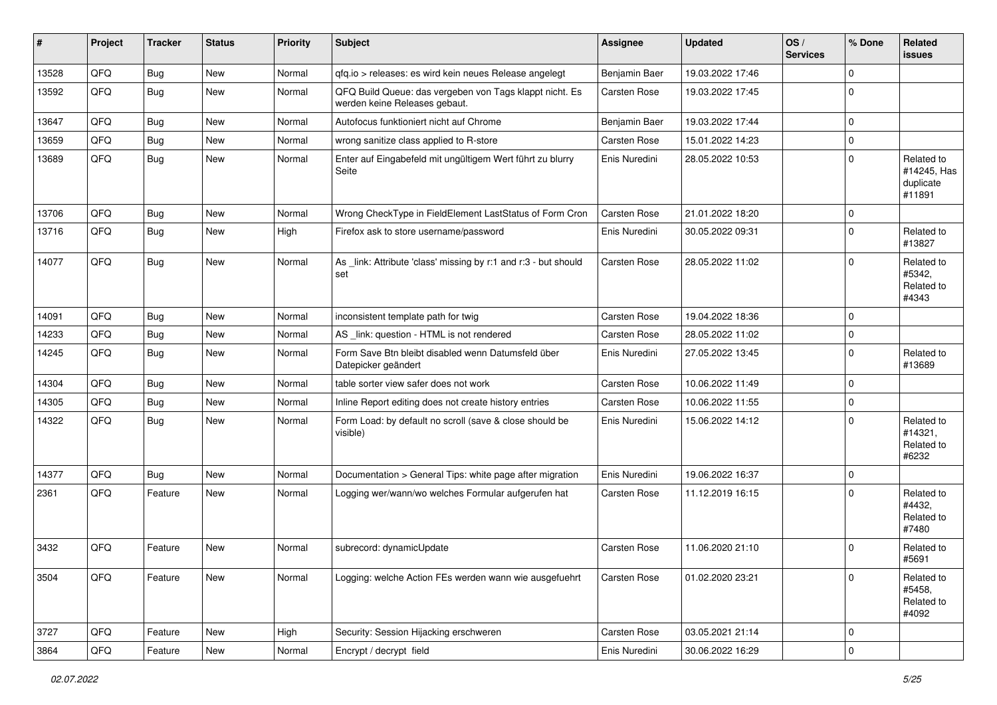| #     | Project | <b>Tracker</b> | <b>Status</b> | <b>Priority</b> | <b>Subject</b>                                                                           | Assignee      | <b>Updated</b>   | $\log$<br><b>Services</b> | % Done      | Related<br>issues                                |
|-------|---------|----------------|---------------|-----------------|------------------------------------------------------------------------------------------|---------------|------------------|---------------------------|-------------|--------------------------------------------------|
| 13528 | QFQ     | Bug            | <b>New</b>    | Normal          | qfq.io > releases: es wird kein neues Release angelegt                                   | Benjamin Baer | 19.03.2022 17:46 |                           | $\Omega$    |                                                  |
| 13592 | QFQ     | Bug            | New           | Normal          | QFQ Build Queue: das vergeben von Tags klappt nicht. Es<br>werden keine Releases gebaut. | Carsten Rose  | 19.03.2022 17:45 |                           | $\Omega$    |                                                  |
| 13647 | QFQ     | <b>Bug</b>     | <b>New</b>    | Normal          | Autofocus funktioniert nicht auf Chrome                                                  | Benjamin Baer | 19.03.2022 17:44 |                           | $\Omega$    |                                                  |
| 13659 | QFQ     | <b>Bug</b>     | New           | Normal          | wrong sanitize class applied to R-store                                                  | Carsten Rose  | 15.01.2022 14:23 |                           | $\mathbf 0$ |                                                  |
| 13689 | QFQ     | <b>Bug</b>     | New           | Normal          | Enter auf Eingabefeld mit ungültigem Wert führt zu blurry<br>Seite                       | Enis Nuredini | 28.05.2022 10:53 |                           | $\Omega$    | Related to<br>#14245, Has<br>duplicate<br>#11891 |
| 13706 | QFQ     | Bug            | New           | Normal          | Wrong CheckType in FieldElement LastStatus of Form Cron                                  | Carsten Rose  | 21.01.2022 18:20 |                           | $\Omega$    |                                                  |
| 13716 | QFQ     | Bug            | New           | High            | Firefox ask to store username/password                                                   | Enis Nuredini | 30.05.2022 09:31 |                           | $\Omega$    | Related to<br>#13827                             |
| 14077 | QFQ     | <b>Bug</b>     | New           | Normal          | As _link: Attribute 'class' missing by r:1 and r:3 - but should<br>set                   | Carsten Rose  | 28.05.2022 11:02 |                           | $\Omega$    | Related to<br>#5342,<br>Related to<br>#4343      |
| 14091 | QFQ     | <b>Bug</b>     | New           | Normal          | inconsistent template path for twig                                                      | Carsten Rose  | 19.04.2022 18:36 |                           | $\Omega$    |                                                  |
| 14233 | QFQ     | <b>Bug</b>     | New           | Normal          | AS _link: question - HTML is not rendered                                                | Carsten Rose  | 28.05.2022 11:02 |                           | $\Omega$    |                                                  |
| 14245 | QFQ     | <b>Bug</b>     | New           | Normal          | Form Save Btn bleibt disabled wenn Datumsfeld über<br>Datepicker geändert                | Enis Nuredini | 27.05.2022 13:45 |                           | $\Omega$    | Related to<br>#13689                             |
| 14304 | QFQ     | <b>Bug</b>     | New           | Normal          | table sorter view safer does not work                                                    | Carsten Rose  | 10.06.2022 11:49 |                           | $\Omega$    |                                                  |
| 14305 | QFQ     | <b>Bug</b>     | New           | Normal          | Inline Report editing does not create history entries                                    | Carsten Rose  | 10.06.2022 11:55 |                           | $\Omega$    |                                                  |
| 14322 | QFQ     | Bug            | New           | Normal          | Form Load: by default no scroll (save & close should be<br>visible)                      | Enis Nuredini | 15.06.2022 14:12 |                           | $\Omega$    | Related to<br>#14321,<br>Related to<br>#6232     |
| 14377 | QFQ     | <b>Bug</b>     | New           | Normal          | Documentation > General Tips: white page after migration                                 | Enis Nuredini | 19.06.2022 16:37 |                           | $\mathbf 0$ |                                                  |
| 2361  | QFQ     | Feature        | New           | Normal          | Logging wer/wann/wo welches Formular aufgerufen hat                                      | Carsten Rose  | 11.12.2019 16:15 |                           | $\Omega$    | Related to<br>#4432,<br>Related to<br>#7480      |
| 3432  | QFQ     | Feature        | <b>New</b>    | Normal          | subrecord: dynamicUpdate                                                                 | Carsten Rose  | 11.06.2020 21:10 |                           | $\Omega$    | Related to<br>#5691                              |
| 3504  | QFQ     | Feature        | New           | Normal          | Logging: welche Action FEs werden wann wie ausgefuehrt                                   | Carsten Rose  | 01.02.2020 23:21 |                           | $\Omega$    | Related to<br>#5458,<br>Related to<br>#4092      |
| 3727  | QFQ     | Feature        | New           | High            | Security: Session Hijacking erschweren                                                   | Carsten Rose  | 03.05.2021 21:14 |                           | 0           |                                                  |
| 3864  | QFQ     | Feature        | New           | Normal          | Encrypt / decrypt field                                                                  | Enis Nuredini | 30.06.2022 16:29 |                           | $\mathbf 0$ |                                                  |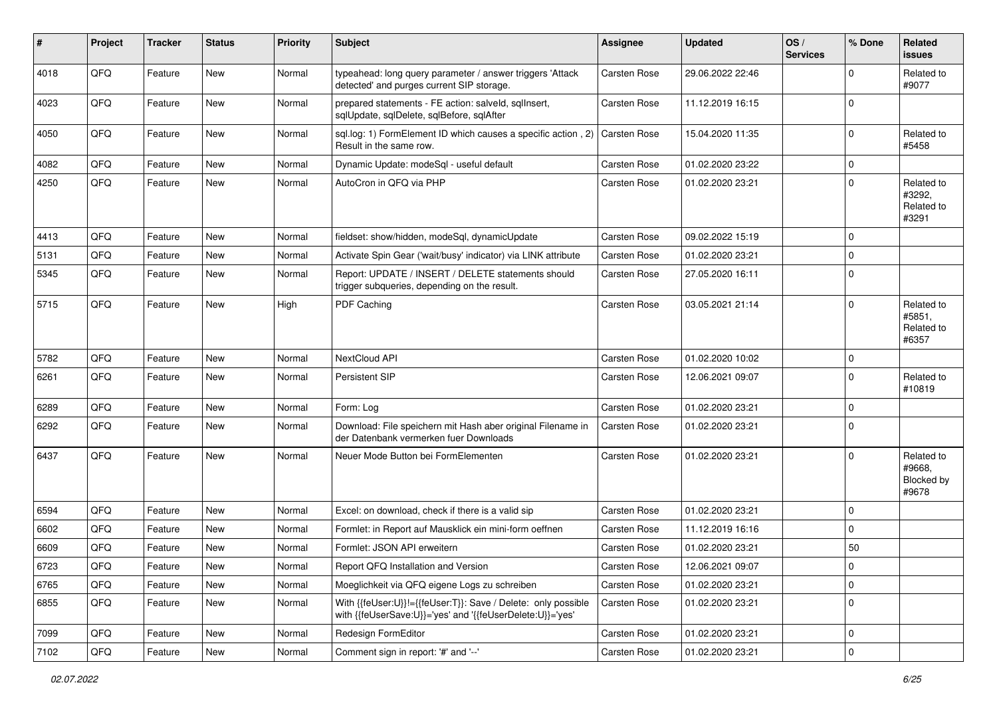| $\vert$ # | Project | <b>Tracker</b> | <b>Status</b> | <b>Priority</b> | <b>Subject</b>                                                                                                             | Assignee     | <b>Updated</b>   | OS/<br><b>Services</b> | % Done      | Related<br><b>issues</b>                    |
|-----------|---------|----------------|---------------|-----------------|----------------------------------------------------------------------------------------------------------------------------|--------------|------------------|------------------------|-------------|---------------------------------------------|
| 4018      | QFQ     | Feature        | <b>New</b>    | Normal          | typeahead: long query parameter / answer triggers 'Attack<br>detected' and purges current SIP storage.                     | Carsten Rose | 29.06.2022 22:46 |                        | $\Omega$    | Related to<br>#9077                         |
| 4023      | QFQ     | Feature        | New           | Normal          | prepared statements - FE action: salveld, sqllnsert,<br>sqlUpdate, sqlDelete, sqlBefore, sqlAfter                          | Carsten Rose | 11.12.2019 16:15 |                        | $\mathbf 0$ |                                             |
| 4050      | QFQ     | Feature        | New           | Normal          | sql.log: 1) FormElement ID which causes a specific action, 2)<br>Result in the same row.                                   | Carsten Rose | 15.04.2020 11:35 |                        | $\mathbf 0$ | Related to<br>#5458                         |
| 4082      | QFQ     | Feature        | New           | Normal          | Dynamic Update: modeSql - useful default                                                                                   | Carsten Rose | 01.02.2020 23:22 |                        | $\mathbf 0$ |                                             |
| 4250      | QFQ     | Feature        | New           | Normal          | AutoCron in QFQ via PHP                                                                                                    | Carsten Rose | 01.02.2020 23:21 |                        | $\mathbf 0$ | Related to<br>#3292.<br>Related to<br>#3291 |
| 4413      | QFQ     | Feature        | <b>New</b>    | Normal          | fieldset: show/hidden, modeSql, dynamicUpdate                                                                              | Carsten Rose | 09.02.2022 15:19 |                        | $\mathbf 0$ |                                             |
| 5131      | QFQ     | Feature        | New           | Normal          | Activate Spin Gear ('wait/busy' indicator) via LINK attribute                                                              | Carsten Rose | 01.02.2020 23:21 |                        | $\mathbf 0$ |                                             |
| 5345      | QFQ     | Feature        | New           | Normal          | Report: UPDATE / INSERT / DELETE statements should<br>trigger subqueries, depending on the result.                         | Carsten Rose | 27.05.2020 16:11 |                        | $\mathbf 0$ |                                             |
| 5715      | QFQ     | Feature        | New           | High            | PDF Caching                                                                                                                | Carsten Rose | 03.05.2021 21:14 |                        | $\mathbf 0$ | Related to<br>#5851,<br>Related to<br>#6357 |
| 5782      | QFQ     | Feature        | <b>New</b>    | Normal          | NextCloud API                                                                                                              | Carsten Rose | 01.02.2020 10:02 |                        | $\mathbf 0$ |                                             |
| 6261      | QFQ     | Feature        | New           | Normal          | Persistent SIP                                                                                                             | Carsten Rose | 12.06.2021 09:07 |                        | $\mathbf 0$ | Related to<br>#10819                        |
| 6289      | QFQ     | Feature        | <b>New</b>    | Normal          | Form: Log                                                                                                                  | Carsten Rose | 01.02.2020 23:21 |                        | $\mathbf 0$ |                                             |
| 6292      | QFQ     | Feature        | New           | Normal          | Download: File speichern mit Hash aber original Filename in<br>der Datenbank vermerken fuer Downloads                      | Carsten Rose | 01.02.2020 23:21 |                        | $\mathbf 0$ |                                             |
| 6437      | QFQ     | Feature        | <b>New</b>    | Normal          | Neuer Mode Button bei FormElementen                                                                                        | Carsten Rose | 01.02.2020 23:21 |                        | $\Omega$    | Related to<br>#9668.<br>Blocked by<br>#9678 |
| 6594      | QFQ     | Feature        | New           | Normal          | Excel: on download, check if there is a valid sip                                                                          | Carsten Rose | 01.02.2020 23:21 |                        | $\mathbf 0$ |                                             |
| 6602      | QFQ     | Feature        | New           | Normal          | Formlet: in Report auf Mausklick ein mini-form oeffnen                                                                     | Carsten Rose | 11.12.2019 16:16 |                        | $\mathbf 0$ |                                             |
| 6609      | QFQ     | Feature        | New           | Normal          | Formlet: JSON API erweitern                                                                                                | Carsten Rose | 01.02.2020 23:21 |                        | 50          |                                             |
| 6723      | QFG     | Feature        | New           | Normal          | Report QFQ Installation and Version                                                                                        | Carsten Rose | 12.06.2021 09:07 |                        | 0           |                                             |
| 6765      | QFQ     | Feature        | New           | Normal          | Moeglichkeit via QFQ eigene Logs zu schreiben                                                                              | Carsten Rose | 01.02.2020 23:21 |                        | $\mathbf 0$ |                                             |
| 6855      | QFQ     | Feature        | New           | Normal          | With {{feUser:U}}!={{feUser:T}}: Save / Delete: only possible<br>with {{feUserSave:U}}='yes' and '{{feUserDelete:U}}='yes' | Carsten Rose | 01.02.2020 23:21 |                        | $\mathbf 0$ |                                             |
| 7099      | QFQ     | Feature        | New           | Normal          | Redesign FormEditor                                                                                                        | Carsten Rose | 01.02.2020 23:21 |                        | $\mathbf 0$ |                                             |
| 7102      | QFQ     | Feature        | New           | Normal          | Comment sign in report: '#' and '--'                                                                                       | Carsten Rose | 01.02.2020 23:21 |                        | $\pmb{0}$   |                                             |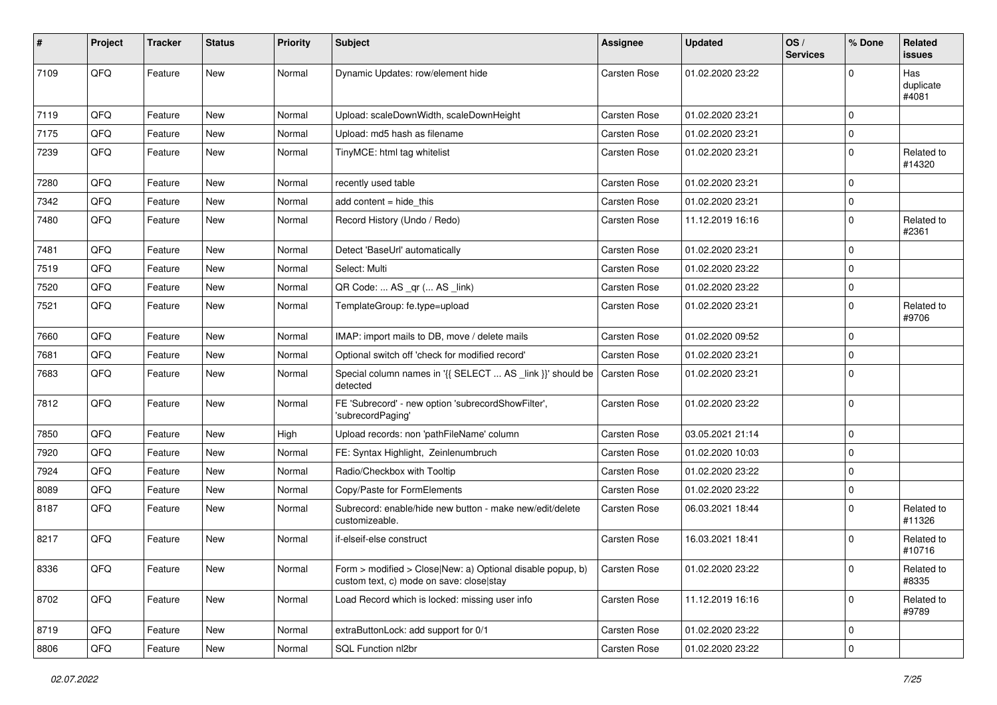| $\vert$ # | Project | <b>Tracker</b> | <b>Status</b> | <b>Priority</b> | <b>Subject</b>                                                                                         | Assignee            | <b>Updated</b>   | OS/<br><b>Services</b> | % Done      | <b>Related</b><br>issues  |
|-----------|---------|----------------|---------------|-----------------|--------------------------------------------------------------------------------------------------------|---------------------|------------------|------------------------|-------------|---------------------------|
| 7109      | QFQ     | Feature        | New           | Normal          | Dynamic Updates: row/element hide                                                                      | Carsten Rose        | 01.02.2020 23:22 |                        | $\Omega$    | Has<br>duplicate<br>#4081 |
| 7119      | QFQ     | Feature        | New           | Normal          | Upload: scaleDownWidth, scaleDownHeight                                                                | <b>Carsten Rose</b> | 01.02.2020 23:21 |                        | $\mathbf 0$ |                           |
| 7175      | QFQ     | Feature        | New           | Normal          | Upload: md5 hash as filename                                                                           | <b>Carsten Rose</b> | 01.02.2020 23:21 |                        | 0           |                           |
| 7239      | QFQ     | Feature        | New           | Normal          | TinyMCE: html tag whitelist                                                                            | <b>Carsten Rose</b> | 01.02.2020 23:21 |                        | $\mathbf 0$ | Related to<br>#14320      |
| 7280      | QFQ     | Feature        | New           | Normal          | recently used table                                                                                    | Carsten Rose        | 01.02.2020 23:21 |                        | $\mathbf 0$ |                           |
| 7342      | QFQ     | Feature        | New           | Normal          | add content = hide_this                                                                                | <b>Carsten Rose</b> | 01.02.2020 23:21 |                        | $\mathbf 0$ |                           |
| 7480      | QFQ     | Feature        | New           | Normal          | Record History (Undo / Redo)                                                                           | <b>Carsten Rose</b> | 11.12.2019 16:16 |                        | $\mathbf 0$ | Related to<br>#2361       |
| 7481      | QFQ     | Feature        | New           | Normal          | Detect 'BaseUrl' automatically                                                                         | <b>Carsten Rose</b> | 01.02.2020 23:21 |                        | $\mathbf 0$ |                           |
| 7519      | QFQ     | Feature        | New           | Normal          | Select: Multi                                                                                          | <b>Carsten Rose</b> | 01.02.2020 23:22 |                        | $\Omega$    |                           |
| 7520      | QFQ     | Feature        | New           | Normal          | QR Code:  AS _qr ( AS _link)                                                                           | Carsten Rose        | 01.02.2020 23:22 |                        | $\mathbf 0$ |                           |
| 7521      | QFQ     | Feature        | New           | Normal          | TemplateGroup: fe.type=upload                                                                          | <b>Carsten Rose</b> | 01.02.2020 23:21 |                        | 0           | Related to<br>#9706       |
| 7660      | QFQ     | Feature        | <b>New</b>    | Normal          | IMAP: import mails to DB, move / delete mails                                                          | <b>Carsten Rose</b> | 01.02.2020 09:52 |                        | $\mathbf 0$ |                           |
| 7681      | QFQ     | Feature        | New           | Normal          | Optional switch off 'check for modified record'                                                        | Carsten Rose        | 01.02.2020 23:21 |                        | $\mathbf 0$ |                           |
| 7683      | QFQ     | Feature        | New           | Normal          | Special column names in '{{ SELECT  AS _link }}' should be<br>detected                                 | Carsten Rose        | 01.02.2020 23:21 |                        | $\mathbf 0$ |                           |
| 7812      | QFQ     | Feature        | New           | Normal          | FE 'Subrecord' - new option 'subrecordShowFilter',<br>'subrecordPaging'                                | Carsten Rose        | 01.02.2020 23:22 |                        | $\mathbf 0$ |                           |
| 7850      | QFQ     | Feature        | <b>New</b>    | High            | Upload records: non 'pathFileName' column                                                              | <b>Carsten Rose</b> | 03.05.2021 21:14 |                        | $\mathbf 0$ |                           |
| 7920      | QFQ     | Feature        | New           | Normal          | FE: Syntax Highlight, Zeinlenumbruch                                                                   | Carsten Rose        | 01.02.2020 10:03 |                        | $\mathbf 0$ |                           |
| 7924      | QFQ     | Feature        | New           | Normal          | Radio/Checkbox with Tooltip                                                                            | <b>Carsten Rose</b> | 01.02.2020 23:22 |                        | $\mathbf 0$ |                           |
| 8089      | QFQ     | Feature        | New           | Normal          | Copy/Paste for FormElements                                                                            | Carsten Rose        | 01.02.2020 23:22 |                        | $\mathbf 0$ |                           |
| 8187      | QFQ     | Feature        | New           | Normal          | Subrecord: enable/hide new button - make new/edit/delete<br>customizeable.                             | Carsten Rose        | 06.03.2021 18:44 |                        | $\mathbf 0$ | Related to<br>#11326      |
| 8217      | QFQ     | Feature        | New           | Normal          | if-elseif-else construct                                                                               | <b>Carsten Rose</b> | 16.03.2021 18:41 |                        | 0           | Related to<br>#10716      |
| 8336      | QFQ     | Feature        | New           | Normal          | Form > modified > Close New: a) Optional disable popup, b)<br>custom text, c) mode on save: close stay | <b>Carsten Rose</b> | 01.02.2020 23:22 |                        | 0           | Related to<br>#8335       |
| 8702      | QFQ     | Feature        | New           | Normal          | Load Record which is locked: missing user info                                                         | Carsten Rose        | 11.12.2019 16:16 |                        | $\mathbf 0$ | Related to<br>#9789       |
| 8719      | QFQ     | Feature        | New           | Normal          | extraButtonLock: add support for 0/1                                                                   | Carsten Rose        | 01.02.2020 23:22 |                        | $\mathbf 0$ |                           |
| 8806      | QFQ     | Feature        | New           | Normal          | SQL Function nl2br                                                                                     | Carsten Rose        | 01.02.2020 23:22 |                        | $\mathbf 0$ |                           |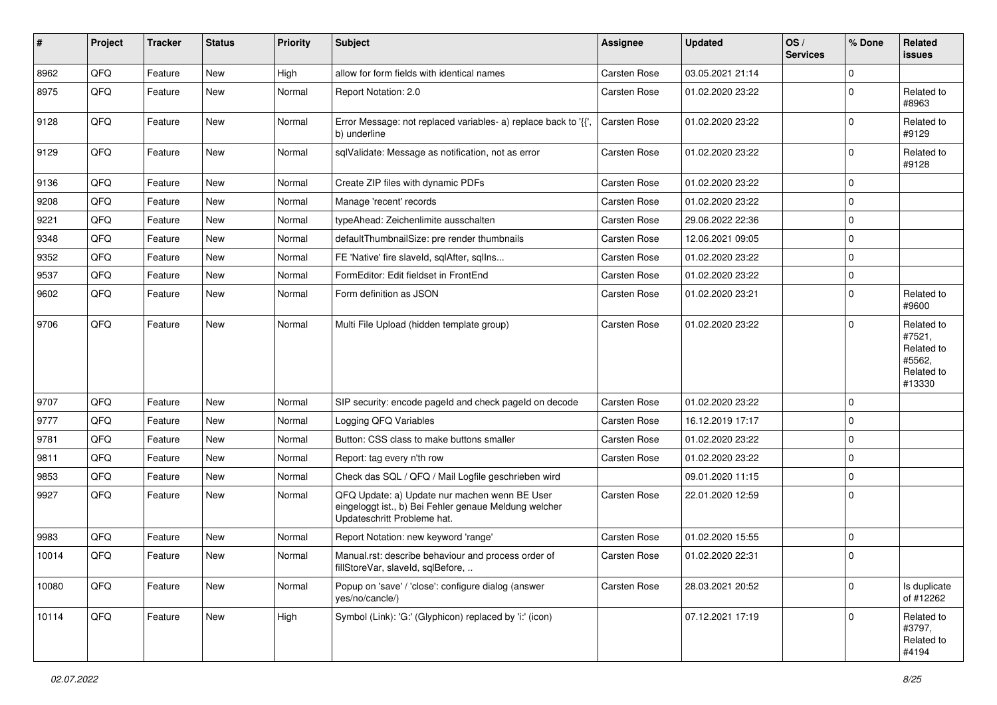| ∦     | Project | <b>Tracker</b> | <b>Status</b> | <b>Priority</b> | <b>Subject</b>                                                                                                                        | Assignee            | <b>Updated</b>   | OS/<br><b>Services</b> | % Done      | Related<br>issues                                                    |
|-------|---------|----------------|---------------|-----------------|---------------------------------------------------------------------------------------------------------------------------------------|---------------------|------------------|------------------------|-------------|----------------------------------------------------------------------|
| 8962  | QFQ     | Feature        | <b>New</b>    | High            | allow for form fields with identical names                                                                                            | <b>Carsten Rose</b> | 03.05.2021 21:14 |                        | $\mathbf 0$ |                                                                      |
| 8975  | QFQ     | Feature        | New           | Normal          | Report Notation: 2.0                                                                                                                  | Carsten Rose        | 01.02.2020 23:22 |                        | $\mathbf 0$ | Related to<br>#8963                                                  |
| 9128  | QFQ     | Feature        | New           | Normal          | Error Message: not replaced variables- a) replace back to '{',<br>b) underline                                                        | Carsten Rose        | 01.02.2020 23:22 |                        | 0           | Related to<br>#9129                                                  |
| 9129  | QFQ     | Feature        | <b>New</b>    | Normal          | sqlValidate: Message as notification, not as error                                                                                    | Carsten Rose        | 01.02.2020 23:22 |                        | $\mathbf 0$ | Related to<br>#9128                                                  |
| 9136  | QFQ     | Feature        | <b>New</b>    | Normal          | Create ZIP files with dynamic PDFs                                                                                                    | Carsten Rose        | 01.02.2020 23:22 |                        | $\mathbf 0$ |                                                                      |
| 9208  | QFQ     | Feature        | <b>New</b>    | Normal          | Manage 'recent' records                                                                                                               | Carsten Rose        | 01.02.2020 23:22 |                        | $\mathbf 0$ |                                                                      |
| 9221  | QFQ     | Feature        | New           | Normal          | typeAhead: Zeichenlimite ausschalten                                                                                                  | Carsten Rose        | 29.06.2022 22:36 |                        | $\mathbf 0$ |                                                                      |
| 9348  | QFQ     | Feature        | <b>New</b>    | Normal          | defaultThumbnailSize: pre render thumbnails                                                                                           | Carsten Rose        | 12.06.2021 09:05 |                        | $\mathbf 0$ |                                                                      |
| 9352  | QFQ     | Feature        | New           | Normal          | FE 'Native' fire slaveld, sqlAfter, sqlIns                                                                                            | Carsten Rose        | 01.02.2020 23:22 |                        | $\mathbf 0$ |                                                                      |
| 9537  | QFQ     | Feature        | New           | Normal          | FormEditor: Edit fieldset in FrontEnd                                                                                                 | Carsten Rose        | 01.02.2020 23:22 |                        | $\mathbf 0$ |                                                                      |
| 9602  | QFQ     | Feature        | <b>New</b>    | Normal          | Form definition as JSON                                                                                                               | Carsten Rose        | 01.02.2020 23:21 |                        | 0           | Related to<br>#9600                                                  |
| 9706  | QFQ     | Feature        | <b>New</b>    | Normal          | Multi File Upload (hidden template group)                                                                                             | Carsten Rose        | 01.02.2020 23:22 |                        | $\mathbf 0$ | Related to<br>#7521,<br>Related to<br>#5562,<br>Related to<br>#13330 |
| 9707  | QFQ     | Feature        | <b>New</b>    | Normal          | SIP security: encode pageld and check pageld on decode                                                                                | Carsten Rose        | 01.02.2020 23:22 |                        | $\mathbf 0$ |                                                                      |
| 9777  | QFQ     | Feature        | New           | Normal          | Logging QFQ Variables                                                                                                                 | Carsten Rose        | 16.12.2019 17:17 |                        | $\mathbf 0$ |                                                                      |
| 9781  | QFQ     | Feature        | New           | Normal          | Button: CSS class to make buttons smaller                                                                                             | Carsten Rose        | 01.02.2020 23:22 |                        | $\mathbf 0$ |                                                                      |
| 9811  | QFQ     | Feature        | <b>New</b>    | Normal          | Report: tag every n'th row                                                                                                            | Carsten Rose        | 01.02.2020 23:22 |                        | $\mathbf 0$ |                                                                      |
| 9853  | QFQ     | Feature        | New           | Normal          | Check das SQL / QFQ / Mail Logfile geschrieben wird                                                                                   |                     | 09.01.2020 11:15 |                        | 0           |                                                                      |
| 9927  | QFQ     | Feature        | <b>New</b>    | Normal          | QFQ Update: a) Update nur machen wenn BE User<br>eingeloggt ist., b) Bei Fehler genaue Meldung welcher<br>Updateschritt Probleme hat. | Carsten Rose        | 22.01.2020 12:59 |                        | $\mathbf 0$ |                                                                      |
| 9983  | QFQ     | Feature        | <b>New</b>    | Normal          | Report Notation: new keyword 'range'                                                                                                  | Carsten Rose        | 01.02.2020 15:55 |                        | $\mathbf 0$ |                                                                      |
| 10014 | QFQ     | Feature        | <b>New</b>    | Normal          | Manual.rst: describe behaviour and process order of<br>fillStoreVar, slaveId, sqlBefore,                                              | Carsten Rose        | 01.02.2020 22:31 |                        | $\mathbf 0$ |                                                                      |
| 10080 | QFQ     | Feature        | New           | Normal          | Popup on 'save' / 'close': configure dialog (answer<br>yes/no/cancle/)                                                                | Carsten Rose        | 28.03.2021 20:52 |                        | $\mathbf 0$ | Is duplicate<br>of #12262                                            |
| 10114 | QFQ     | Feature        | New           | High            | Symbol (Link): 'G:' (Glyphicon) replaced by 'i:' (icon)                                                                               |                     | 07.12.2021 17:19 |                        | $\mathbf 0$ | Related to<br>#3797,<br>Related to<br>#4194                          |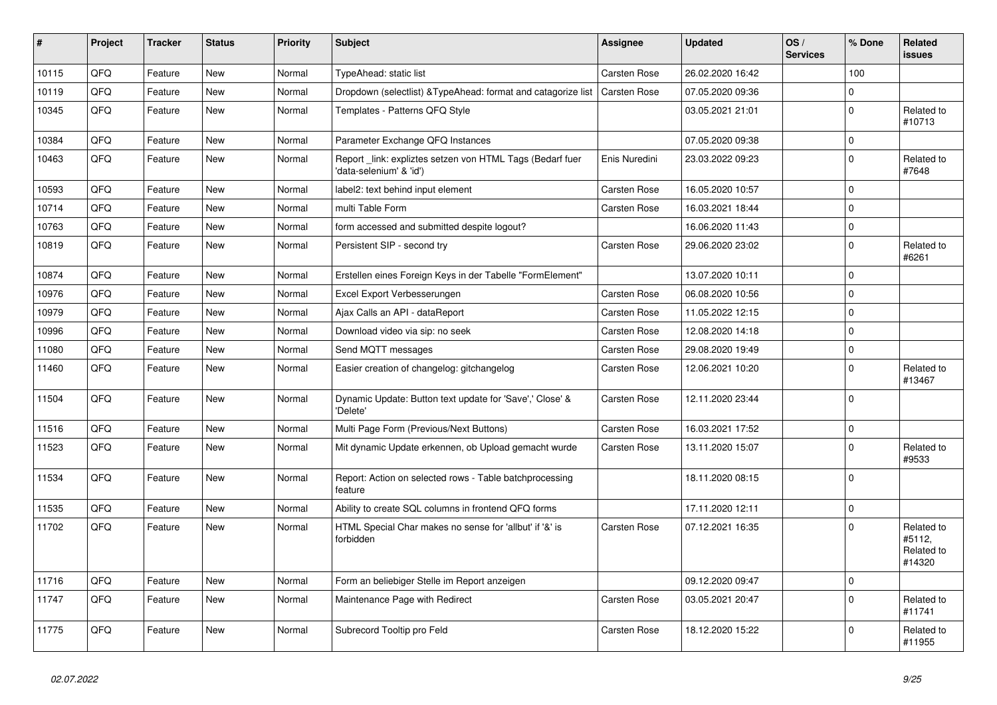| #     | Project | <b>Tracker</b> | <b>Status</b> | <b>Priority</b> | <b>Subject</b>                                                                       | <b>Assignee</b>     | <b>Updated</b>   | OS/<br><b>Services</b> | % Done      | Related<br><b>issues</b>                     |
|-------|---------|----------------|---------------|-----------------|--------------------------------------------------------------------------------------|---------------------|------------------|------------------------|-------------|----------------------------------------------|
| 10115 | QFQ     | Feature        | New           | Normal          | TypeAhead: static list                                                               | Carsten Rose        | 26.02.2020 16:42 |                        | 100         |                                              |
| 10119 | QFQ     | Feature        | <b>New</b>    | Normal          | Dropdown (selectlist) & Type Ahead: format and catagorize list                       | Carsten Rose        | 07.05.2020 09:36 |                        | $\Omega$    |                                              |
| 10345 | QFQ     | Feature        | New           | Normal          | Templates - Patterns QFQ Style                                                       |                     | 03.05.2021 21:01 |                        | $\mathbf 0$ | Related to<br>#10713                         |
| 10384 | QFQ     | Feature        | <b>New</b>    | Normal          | Parameter Exchange QFQ Instances                                                     |                     | 07.05.2020 09:38 |                        | $\pmb{0}$   |                                              |
| 10463 | QFQ     | Feature        | <b>New</b>    | Normal          | Report _link: expliztes setzen von HTML Tags (Bedarf fuer<br>'data-selenium' & 'id') | Enis Nuredini       | 23.03.2022 09:23 |                        | $\pmb{0}$   | Related to<br>#7648                          |
| 10593 | QFQ     | Feature        | <b>New</b>    | Normal          | label2: text behind input element                                                    | Carsten Rose        | 16.05.2020 10:57 |                        | $\mathbf 0$ |                                              |
| 10714 | QFQ     | Feature        | <b>New</b>    | Normal          | multi Table Form                                                                     | <b>Carsten Rose</b> | 16.03.2021 18:44 |                        | $\mathbf 0$ |                                              |
| 10763 | QFQ     | Feature        | <b>New</b>    | Normal          | form accessed and submitted despite logout?                                          |                     | 16.06.2020 11:43 |                        | $\pmb{0}$   |                                              |
| 10819 | QFQ     | Feature        | <b>New</b>    | Normal          | Persistent SIP - second try                                                          | <b>Carsten Rose</b> | 29.06.2020 23:02 |                        | $\mathbf 0$ | Related to<br>#6261                          |
| 10874 | QFQ     | Feature        | New           | Normal          | Erstellen eines Foreign Keys in der Tabelle "FormElement"                            |                     | 13.07.2020 10:11 |                        | $\mathbf 0$ |                                              |
| 10976 | QFQ     | Feature        | <b>New</b>    | Normal          | Excel Export Verbesserungen                                                          | <b>Carsten Rose</b> | 06.08.2020 10:56 |                        | $\mathbf 0$ |                                              |
| 10979 | QFQ     | Feature        | <b>New</b>    | Normal          | Ajax Calls an API - dataReport                                                       | Carsten Rose        | 11.05.2022 12:15 |                        | $\pmb{0}$   |                                              |
| 10996 | QFQ     | Feature        | New           | Normal          | Download video via sip: no seek                                                      | Carsten Rose        | 12.08.2020 14:18 |                        | $\mathbf 0$ |                                              |
| 11080 | QFQ     | Feature        | New           | Normal          | Send MQTT messages                                                                   | Carsten Rose        | 29.08.2020 19:49 |                        | $\pmb{0}$   |                                              |
| 11460 | QFQ     | Feature        | <b>New</b>    | Normal          | Easier creation of changelog: gitchangelog                                           | Carsten Rose        | 12.06.2021 10:20 |                        | $\mathbf 0$ | Related to<br>#13467                         |
| 11504 | QFQ     | Feature        | <b>New</b>    | Normal          | Dynamic Update: Button text update for 'Save',' Close' &<br>'Delete'                 | <b>Carsten Rose</b> | 12.11.2020 23:44 |                        | $\pmb{0}$   |                                              |
| 11516 | QFQ     | Feature        | <b>New</b>    | Normal          | Multi Page Form (Previous/Next Buttons)                                              | <b>Carsten Rose</b> | 16.03.2021 17:52 |                        | $\mathbf 0$ |                                              |
| 11523 | QFQ     | Feature        | New           | Normal          | Mit dynamic Update erkennen, ob Upload gemacht wurde                                 | <b>Carsten Rose</b> | 13.11.2020 15:07 |                        | $\mathbf 0$ | Related to<br>#9533                          |
| 11534 | QFQ     | Feature        | <b>New</b>    | Normal          | Report: Action on selected rows - Table batchprocessing<br>feature                   |                     | 18.11.2020 08:15 |                        | $\mathbf 0$ |                                              |
| 11535 | QFQ     | Feature        | <b>New</b>    | Normal          | Ability to create SQL columns in frontend QFQ forms                                  |                     | 17.11.2020 12:11 |                        | $\mathbf 0$ |                                              |
| 11702 | QFQ     | Feature        | <b>New</b>    | Normal          | HTML Special Char makes no sense for 'allbut' if '&' is<br>forbidden                 | <b>Carsten Rose</b> | 07.12.2021 16:35 |                        | $\mathbf 0$ | Related to<br>#5112,<br>Related to<br>#14320 |
| 11716 | QFQ     | Feature        | <b>New</b>    | Normal          | Form an beliebiger Stelle im Report anzeigen                                         |                     | 09.12.2020 09:47 |                        | $\pmb{0}$   |                                              |
| 11747 | QFQ     | Feature        | <b>New</b>    | Normal          | Maintenance Page with Redirect                                                       | Carsten Rose        | 03.05.2021 20:47 |                        | $\pmb{0}$   | Related to<br>#11741                         |
| 11775 | QFQ     | Feature        | <b>New</b>    | Normal          | Subrecord Tooltip pro Feld                                                           | <b>Carsten Rose</b> | 18.12.2020 15:22 |                        | $\mathbf 0$ | Related to<br>#11955                         |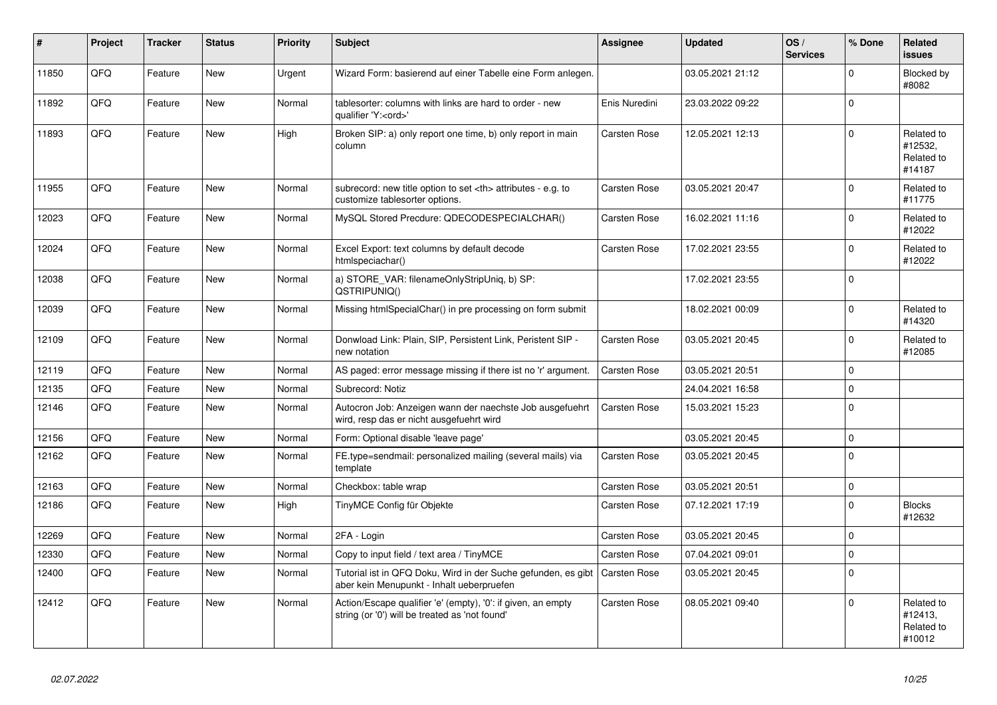| #     | Project | <b>Tracker</b> | <b>Status</b> | <b>Priority</b> | <b>Subject</b>                                                                                                 | <b>Assignee</b>                                        | <b>Updated</b>   | OS/<br><b>Services</b> | % Done      | Related<br><b>issues</b>                      |                      |
|-------|---------|----------------|---------------|-----------------|----------------------------------------------------------------------------------------------------------------|--------------------------------------------------------|------------------|------------------------|-------------|-----------------------------------------------|----------------------|
| 11850 | QFQ     | Feature        | <b>New</b>    | Urgent          | Wizard Form: basierend auf einer Tabelle eine Form anlegen.                                                    |                                                        | 03.05.2021 21:12 |                        | $\mathbf 0$ | Blocked by<br>#8082                           |                      |
| 11892 | QFQ     | Feature        | <b>New</b>    | Normal          | tablesorter: columns with links are hard to order - new<br>qualifier 'Y: <ord>'</ord>                          | Enis Nuredini                                          | 23.03.2022 09:22 |                        | $\mathbf 0$ |                                               |                      |
| 11893 | QFQ     | Feature        | New           | High            | Broken SIP: a) only report one time, b) only report in main<br>column                                          | <b>Carsten Rose</b>                                    | 12.05.2021 12:13 |                        | $\Omega$    | Related to<br>#12532,<br>Related to<br>#14187 |                      |
| 11955 | QFQ     | Feature        | <b>New</b>    | Normal          | subrecord: new title option to set <th> attributes - e.g. to<br/>customize tablesorter options.</th>           | attributes - e.g. to<br>customize tablesorter options. | Carsten Rose     | 03.05.2021 20:47       |             | $\mathbf 0$                                   | Related to<br>#11775 |
| 12023 | QFQ     | Feature        | <b>New</b>    | Normal          | MySQL Stored Precdure: QDECODESPECIALCHAR()                                                                    | <b>Carsten Rose</b>                                    | 16.02.2021 11:16 |                        | $\mathbf 0$ | Related to<br>#12022                          |                      |
| 12024 | QFQ     | Feature        | New           | Normal          | Excel Export: text columns by default decode<br>htmlspeciachar()                                               | Carsten Rose                                           | 17.02.2021 23:55 |                        | $\mathbf 0$ | Related to<br>#12022                          |                      |
| 12038 | QFQ     | Feature        | <b>New</b>    | Normal          | a) STORE VAR: filenameOnlyStripUniq, b) SP:<br>QSTRIPUNIQ()                                                    |                                                        | 17.02.2021 23:55 |                        | $\mathbf 0$ |                                               |                      |
| 12039 | QFQ     | Feature        | <b>New</b>    | Normal          | Missing htmlSpecialChar() in pre processing on form submit                                                     |                                                        | 18.02.2021 00:09 |                        | $\Omega$    | Related to<br>#14320                          |                      |
| 12109 | QFQ     | Feature        | <b>New</b>    | Normal          | Donwload Link: Plain, SIP, Persistent Link, Peristent SIP -<br>new notation                                    | Carsten Rose                                           | 03.05.2021 20:45 |                        | $\Omega$    | Related to<br>#12085                          |                      |
| 12119 | QFQ     | Feature        | <b>New</b>    | Normal          | AS paged: error message missing if there ist no 'r' argument.                                                  | Carsten Rose                                           | 03.05.2021 20:51 |                        | $\mathbf 0$ |                                               |                      |
| 12135 | QFQ     | Feature        | <b>New</b>    | Normal          | Subrecord: Notiz                                                                                               |                                                        | 24.04.2021 16:58 |                        | $\mathbf 0$ |                                               |                      |
| 12146 | QFQ     | Feature        | <b>New</b>    | Normal          | Autocron Job: Anzeigen wann der naechste Job ausgefuehrt<br>wird, resp das er nicht ausgefuehrt wird           | Carsten Rose                                           | 15.03.2021 15:23 |                        | $\mathbf 0$ |                                               |                      |
| 12156 | QFQ     | Feature        | <b>New</b>    | Normal          | Form: Optional disable 'leave page'                                                                            |                                                        | 03.05.2021 20:45 |                        | $\mathbf 0$ |                                               |                      |
| 12162 | QFQ     | Feature        | <b>New</b>    | Normal          | FE.type=sendmail: personalized mailing (several mails) via<br>template                                         | <b>Carsten Rose</b>                                    | 03.05.2021 20:45 |                        | $\mathbf 0$ |                                               |                      |
| 12163 | QFQ     | Feature        | <b>New</b>    | Normal          | Checkbox: table wrap                                                                                           | Carsten Rose                                           | 03.05.2021 20:51 |                        | $\mathbf 0$ |                                               |                      |
| 12186 | QFQ     | Feature        | New           | High            | TinyMCE Config für Objekte                                                                                     | <b>Carsten Rose</b>                                    | 07.12.2021 17:19 |                        | $\mathbf 0$ | <b>Blocks</b><br>#12632                       |                      |
| 12269 | QFQ     | Feature        | <b>New</b>    | Normal          | 2FA - Login                                                                                                    | <b>Carsten Rose</b>                                    | 03.05.2021 20:45 |                        | $\mathbf 0$ |                                               |                      |
| 12330 | QFQ     | Feature        | New           | Normal          | Copy to input field / text area / TinyMCE                                                                      | <b>Carsten Rose</b>                                    | 07.04.2021 09:01 |                        | $\mathbf 0$ |                                               |                      |
| 12400 | QFQ     | Feature        | <b>New</b>    | Normal          | Tutorial ist in QFQ Doku, Wird in der Suche gefunden, es gibt<br>aber kein Menupunkt - Inhalt ueberpruefen     | Carsten Rose                                           | 03.05.2021 20:45 |                        | $\Omega$    |                                               |                      |
| 12412 | QFQ     | Feature        | New           | Normal          | Action/Escape qualifier 'e' (empty), '0': if given, an empty<br>string (or '0') will be treated as 'not found' | Carsten Rose                                           | 08.05.2021 09:40 |                        | $\mathbf 0$ | Related to<br>#12413,<br>Related to<br>#10012 |                      |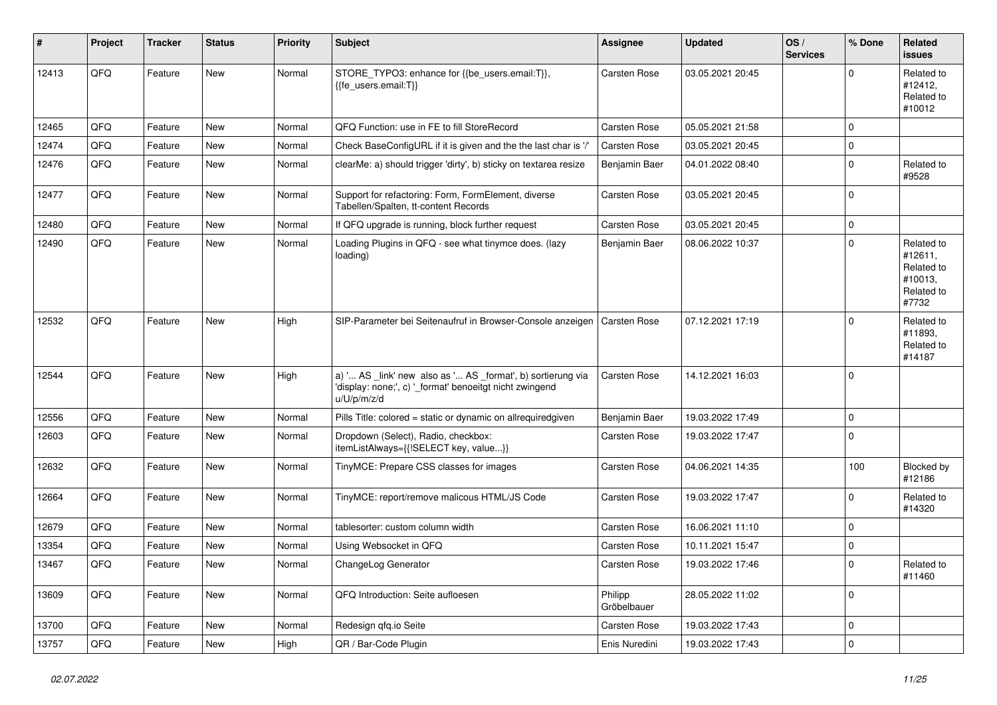| $\vert$ # | Project | <b>Tracker</b> | <b>Status</b> | <b>Priority</b> | <b>Subject</b>                                                                                                                        | <b>Assignee</b>        | <b>Updated</b>   | OS/<br><b>Services</b> | % Done      | Related<br><b>issues</b>                                              |
|-----------|---------|----------------|---------------|-----------------|---------------------------------------------------------------------------------------------------------------------------------------|------------------------|------------------|------------------------|-------------|-----------------------------------------------------------------------|
| 12413     | QFQ     | Feature        | <b>New</b>    | Normal          | STORE_TYPO3: enhance for {{be_users.email:T}},<br>{{fe users.email:T}}                                                                | Carsten Rose           | 03.05.2021 20:45 |                        | $\Omega$    | Related to<br>#12412,<br>Related to<br>#10012                         |
| 12465     | QFQ     | Feature        | New           | Normal          | QFQ Function: use in FE to fill StoreRecord                                                                                           | Carsten Rose           | 05.05.2021 21:58 |                        | $\mathbf 0$ |                                                                       |
| 12474     | QFQ     | Feature        | <b>New</b>    | Normal          | Check BaseConfigURL if it is given and the the last char is '/'                                                                       | Carsten Rose           | 03.05.2021 20:45 |                        | $\mathbf 0$ |                                                                       |
| 12476     | QFQ     | Feature        | <b>New</b>    | Normal          | clearMe: a) should trigger 'dirty', b) sticky on textarea resize                                                                      | Benjamin Baer          | 04.01.2022 08:40 |                        | $\mathbf 0$ | Related to<br>#9528                                                   |
| 12477     | QFQ     | Feature        | New           | Normal          | Support for refactoring: Form, FormElement, diverse<br>Tabellen/Spalten, tt-content Records                                           | Carsten Rose           | 03.05.2021 20:45 |                        | $\mathbf 0$ |                                                                       |
| 12480     | QFQ     | Feature        | New           | Normal          | If QFQ upgrade is running, block further request                                                                                      | Carsten Rose           | 03.05.2021 20:45 |                        | $\mathbf 0$ |                                                                       |
| 12490     | QFQ     | Feature        | New           | Normal          | Loading Plugins in QFQ - see what tinymce does. (lazy<br>loading)                                                                     | Benjamin Baer          | 08.06.2022 10:37 |                        | $\mathbf 0$ | Related to<br>#12611,<br>Related to<br>#10013,<br>Related to<br>#7732 |
| 12532     | QFQ     | Feature        | New           | High            | SIP-Parameter bei Seitenaufruf in Browser-Console anzeigen                                                                            | <b>Carsten Rose</b>    | 07.12.2021 17:19 |                        | $\Omega$    | Related to<br>#11893,<br>Related to<br>#14187                         |
| 12544     | QFQ     | Feature        | New           | High            | a) ' AS _link' new also as ' AS _format', b) sortierung via<br>'display: none;', c) '_format' benoeitgt nicht zwingend<br>u/U/p/m/z/d | Carsten Rose           | 14.12.2021 16:03 |                        | $\Omega$    |                                                                       |
| 12556     | QFQ     | Feature        | New           | Normal          | Pills Title: colored = static or dynamic on allrequiredgiven                                                                          | Benjamin Baer          | 19.03.2022 17:49 |                        | $\pmb{0}$   |                                                                       |
| 12603     | QFQ     | Feature        | New           | Normal          | Dropdown (Select), Radio, checkbox:<br>itemListAlways={{!SELECT key, value}}                                                          | Carsten Rose           | 19.03.2022 17:47 |                        | $\Omega$    |                                                                       |
| 12632     | QFQ     | Feature        | New           | Normal          | TinyMCE: Prepare CSS classes for images                                                                                               | Carsten Rose           | 04.06.2021 14:35 |                        | 100         | Blocked by<br>#12186                                                  |
| 12664     | QFQ     | Feature        | New           | Normal          | TinyMCE: report/remove malicous HTML/JS Code                                                                                          | Carsten Rose           | 19.03.2022 17:47 |                        | $\Omega$    | Related to<br>#14320                                                  |
| 12679     | QFQ     | Feature        | <b>New</b>    | Normal          | tablesorter: custom column width                                                                                                      | Carsten Rose           | 16.06.2021 11:10 |                        | $\Omega$    |                                                                       |
| 13354     | QFQ     | Feature        | New           | Normal          | Using Websocket in QFQ                                                                                                                | Carsten Rose           | 10.11.2021 15:47 |                        | $\mathbf 0$ |                                                                       |
| 13467     | QFQ     | Feature        | New           | Normal          | ChangeLog Generator                                                                                                                   | Carsten Rose           | 19.03.2022 17:46 |                        | $\Omega$    | Related to<br>#11460                                                  |
| 13609     | QFQ     | Feature        | New           | Normal          | QFQ Introduction: Seite aufloesen                                                                                                     | Philipp<br>Gröbelbauer | 28.05.2022 11:02 |                        | $\Omega$    |                                                                       |
| 13700     | QFQ     | Feature        | New           | Normal          | Redesign gfg.io Seite                                                                                                                 | Carsten Rose           | 19.03.2022 17:43 |                        | $\mathbf 0$ |                                                                       |
| 13757     | QFQ     | Feature        | New           | High            | QR / Bar-Code Plugin                                                                                                                  | Enis Nuredini          | 19.03.2022 17:43 |                        | $\Omega$    |                                                                       |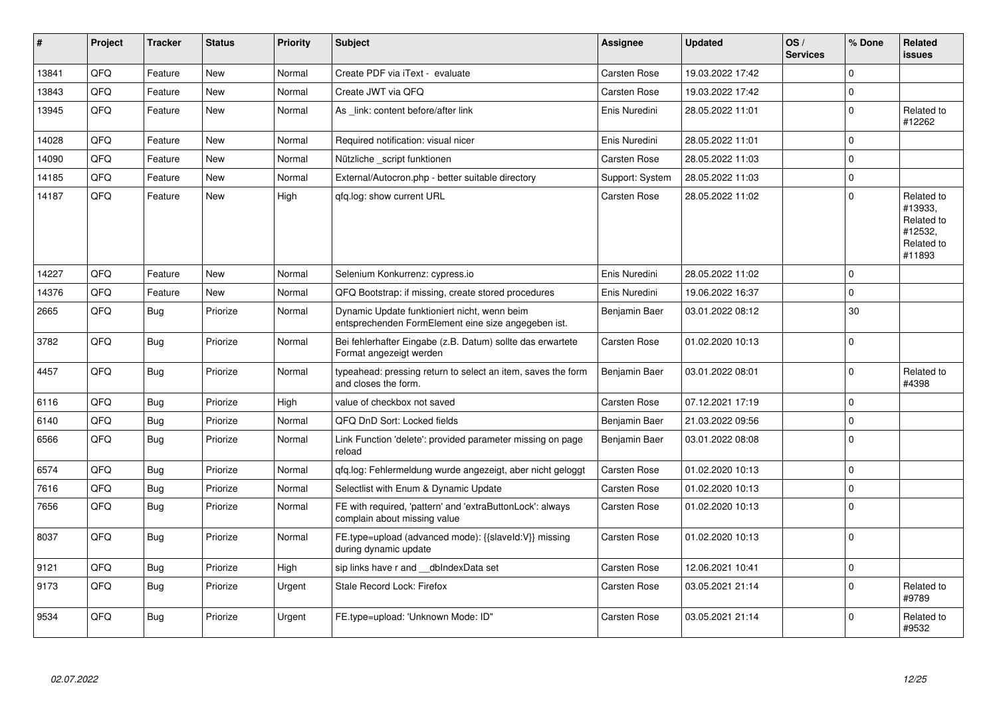| #     | Project | <b>Tracker</b> | <b>Status</b> | <b>Priority</b> | <b>Subject</b>                                                                                      | <b>Assignee</b>     | <b>Updated</b>   | OS/<br><b>Services</b> | % Done      | Related<br><b>issues</b>                                               |
|-------|---------|----------------|---------------|-----------------|-----------------------------------------------------------------------------------------------------|---------------------|------------------|------------------------|-------------|------------------------------------------------------------------------|
| 13841 | QFQ     | Feature        | New           | Normal          | Create PDF via iText - evaluate                                                                     | <b>Carsten Rose</b> | 19.03.2022 17:42 |                        | $\mathbf 0$ |                                                                        |
| 13843 | QFQ     | Feature        | <b>New</b>    | Normal          | Create JWT via QFQ                                                                                  | Carsten Rose        | 19.03.2022 17:42 |                        | $\mathbf 0$ |                                                                        |
| 13945 | QFQ     | Feature        | New           | Normal          | As link: content before/after link                                                                  | Enis Nuredini       | 28.05.2022 11:01 |                        | $\Omega$    | Related to<br>#12262                                                   |
| 14028 | QFQ     | Feature        | <b>New</b>    | Normal          | Required notification: visual nicer                                                                 | Enis Nuredini       | 28.05.2022 11:01 |                        | $\mathbf 0$ |                                                                        |
| 14090 | QFQ     | Feature        | <b>New</b>    | Normal          | Nützliche script funktionen                                                                         | <b>Carsten Rose</b> | 28.05.2022 11:03 |                        | $\Omega$    |                                                                        |
| 14185 | QFQ     | Feature        | <b>New</b>    | Normal          | External/Autocron.php - better suitable directory                                                   | Support: System     | 28.05.2022 11:03 |                        | $\mathbf 0$ |                                                                        |
| 14187 | QFQ     | Feature        | New           | High            | qfq.log: show current URL                                                                           | Carsten Rose        | 28.05.2022 11:02 |                        | $\mathbf 0$ | Related to<br>#13933.<br>Related to<br>#12532,<br>Related to<br>#11893 |
| 14227 | QFQ     | Feature        | <b>New</b>    | Normal          | Selenium Konkurrenz: cypress.io                                                                     | Enis Nuredini       | 28.05.2022 11:02 |                        | $\mathbf 0$ |                                                                        |
| 14376 | QFQ     | Feature        | New           | Normal          | QFQ Bootstrap: if missing, create stored procedures                                                 | Enis Nuredini       | 19.06.2022 16:37 |                        | $\Omega$    |                                                                        |
| 2665  | QFQ     | <b>Bug</b>     | Priorize      | Normal          | Dynamic Update funktioniert nicht, wenn beim<br>entsprechenden FormElement eine size angegeben ist. | Benjamin Baer       | 03.01.2022 08:12 |                        | 30          |                                                                        |
| 3782  | QFQ     | Bug            | Priorize      | Normal          | Bei fehlerhafter Eingabe (z.B. Datum) sollte das erwartete<br>Format angezeigt werden               | <b>Carsten Rose</b> | 01.02.2020 10:13 |                        | $\Omega$    |                                                                        |
| 4457  | QFQ     | Bug            | Priorize      | Normal          | typeahead: pressing return to select an item, saves the form<br>and closes the form.                | Benjamin Baer       | 03.01.2022 08:01 |                        | $\mathbf 0$ | Related to<br>#4398                                                    |
| 6116  | QFQ     | Bug            | Priorize      | High            | value of checkbox not saved                                                                         | <b>Carsten Rose</b> | 07.12.2021 17:19 |                        | $\mathbf 0$ |                                                                        |
| 6140  | QFQ     | <b>Bug</b>     | Priorize      | Normal          | QFQ DnD Sort: Locked fields                                                                         | Benjamin Baer       | 21.03.2022 09:56 |                        | $\mathbf 0$ |                                                                        |
| 6566  | QFQ     | Bug            | Priorize      | Normal          | Link Function 'delete': provided parameter missing on page<br>reload                                | Benjamin Baer       | 03.01.2022 08:08 |                        | $\Omega$    |                                                                        |
| 6574  | QFQ     | Bug            | Priorize      | Normal          | gfg.log: Fehlermeldung wurde angezeigt, aber nicht geloggt                                          | <b>Carsten Rose</b> | 01.02.2020 10:13 |                        | $\mathbf 0$ |                                                                        |
| 7616  | QFQ     | <b>Bug</b>     | Priorize      | Normal          | Selectlist with Enum & Dynamic Update                                                               | <b>Carsten Rose</b> | 01.02.2020 10:13 |                        | $\mathbf 0$ |                                                                        |
| 7656  | QFQ     | Bug            | Priorize      | Normal          | FE with required, 'pattern' and 'extraButtonLock': always<br>complain about missing value           | Carsten Rose        | 01.02.2020 10:13 |                        | $\Omega$    |                                                                        |
| 8037  | QFQ     | <b>Bug</b>     | Priorize      | Normal          | FE.type=upload (advanced mode): {{slaveld:V}} missing<br>during dynamic update                      | <b>Carsten Rose</b> | 01.02.2020 10:13 |                        | $\mathbf 0$ |                                                                        |
| 9121  | QFQ     | <b>Bug</b>     | Priorize      | High            | sip links have r and __dbIndexData set                                                              | Carsten Rose        | 12.06.2021 10:41 |                        | $\pmb{0}$   |                                                                        |
| 9173  | QFQ     | <b>Bug</b>     | Priorize      | Urgent          | Stale Record Lock: Firefox                                                                          | Carsten Rose        | 03.05.2021 21:14 |                        | $\mathbf 0$ | Related to<br>#9789                                                    |
| 9534  | QFQ     | Bug            | Priorize      | Urgent          | FE.type=upload: 'Unknown Mode: ID"                                                                  | <b>Carsten Rose</b> | 03.05.2021 21:14 |                        | $\Omega$    | Related to<br>#9532                                                    |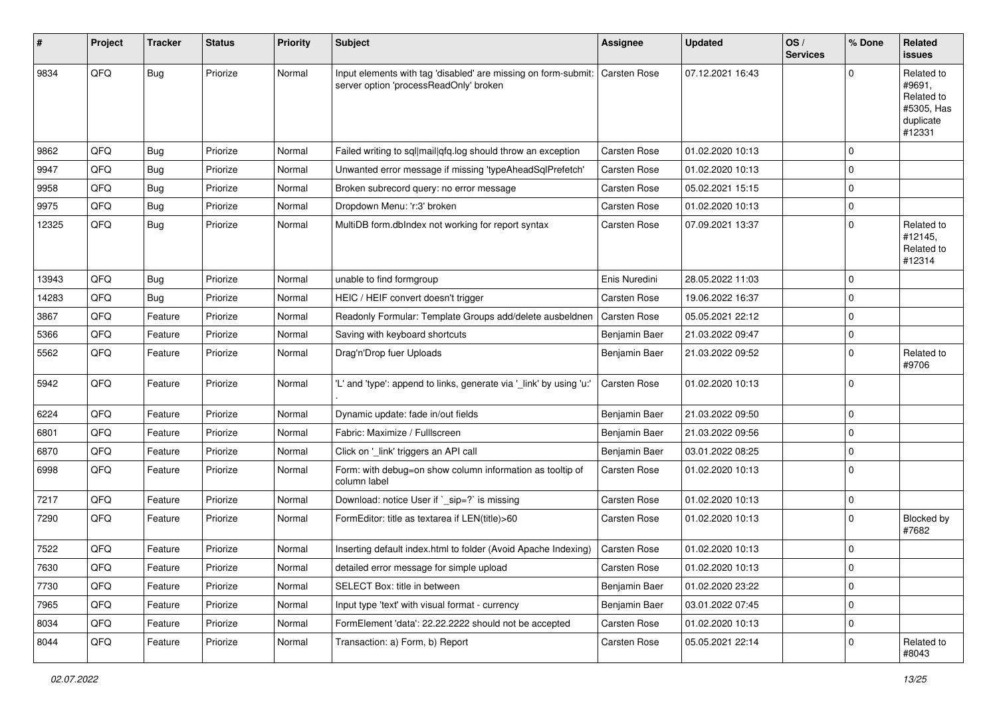| #     | Project | <b>Tracker</b> | <b>Status</b> | <b>Priority</b> | <b>Subject</b>                                                                                           | Assignee      | <b>Updated</b>   | OS/<br><b>Services</b> | % Done      | <b>Related</b><br>issues                                                |
|-------|---------|----------------|---------------|-----------------|----------------------------------------------------------------------------------------------------------|---------------|------------------|------------------------|-------------|-------------------------------------------------------------------------|
| 9834  | QFQ     | Bug            | Priorize      | Normal          | Input elements with tag 'disabled' are missing on form-submit:<br>server option 'processReadOnly' broken | Carsten Rose  | 07.12.2021 16:43 |                        | $\Omega$    | Related to<br>#9691.<br>Related to<br>#5305, Has<br>duplicate<br>#12331 |
| 9862  | QFQ     | <b>Bug</b>     | Priorize      | Normal          | Failed writing to sql mail qfq.log should throw an exception                                             | Carsten Rose  | 01.02.2020 10:13 |                        | $\Omega$    |                                                                         |
| 9947  | QFQ     | <b>Bug</b>     | Priorize      | Normal          | Unwanted error message if missing 'typeAheadSqlPrefetch'                                                 | Carsten Rose  | 01.02.2020 10:13 |                        | $\Omega$    |                                                                         |
| 9958  | QFQ     | <b>Bug</b>     | Priorize      | Normal          | Broken subrecord query: no error message                                                                 | Carsten Rose  | 05.02.2021 15:15 |                        | $\mathbf 0$ |                                                                         |
| 9975  | QFQ     | <b>Bug</b>     | Priorize      | Normal          | Dropdown Menu: 'r:3' broken                                                                              | Carsten Rose  | 01.02.2020 10:13 |                        | 0           |                                                                         |
| 12325 | QFQ     | Bug            | Priorize      | Normal          | MultiDB form.dblndex not working for report syntax                                                       | Carsten Rose  | 07.09.2021 13:37 |                        | $\Omega$    | Related to<br>#12145,<br>Related to<br>#12314                           |
| 13943 | QFQ     | Bug            | Priorize      | Normal          | unable to find formgroup                                                                                 | Enis Nuredini | 28.05.2022 11:03 |                        | $\Omega$    |                                                                         |
| 14283 | QFQ     | Bug            | Priorize      | Normal          | HEIC / HEIF convert doesn't trigger                                                                      | Carsten Rose  | 19.06.2022 16:37 |                        | $\mathbf 0$ |                                                                         |
| 3867  | QFQ     | Feature        | Priorize      | Normal          | Readonly Formular: Template Groups add/delete ausbeldnen                                                 | Carsten Rose  | 05.05.2021 22:12 |                        | $\mathbf 0$ |                                                                         |
| 5366  | QFQ     | Feature        | Priorize      | Normal          | Saving with keyboard shortcuts                                                                           | Benjamin Baer | 21.03.2022 09:47 |                        | $\mathbf 0$ |                                                                         |
| 5562  | QFQ     | Feature        | Priorize      | Normal          | Drag'n'Drop fuer Uploads                                                                                 | Benjamin Baer | 21.03.2022 09:52 |                        | $\mathbf 0$ | Related to<br>#9706                                                     |
| 5942  | QFQ     | Feature        | Priorize      | Normal          | 'L' and 'type': append to links, generate via '_link' by using 'u:'                                      | Carsten Rose  | 01.02.2020 10:13 |                        | $\mathbf 0$ |                                                                         |
| 6224  | QFQ     | Feature        | Priorize      | Normal          | Dynamic update: fade in/out fields                                                                       | Benjamin Baer | 21.03.2022 09:50 |                        | $\mathbf 0$ |                                                                         |
| 6801  | QFQ     | Feature        | Priorize      | Normal          | Fabric: Maximize / FullIscreen                                                                           | Benjamin Baer | 21.03.2022 09:56 |                        | $\mathbf 0$ |                                                                         |
| 6870  | QFQ     | Feature        | Priorize      | Normal          | Click on '_link' triggers an API call                                                                    | Benjamin Baer | 03.01.2022 08:25 |                        | $\Omega$    |                                                                         |
| 6998  | QFQ     | Feature        | Priorize      | Normal          | Form: with debug=on show column information as tooltip of<br>column label                                | Carsten Rose  | 01.02.2020 10:13 |                        | $\Omega$    |                                                                         |
| 7217  | QFQ     | Feature        | Priorize      | Normal          | Download: notice User if `_sip=?` is missing                                                             | Carsten Rose  | 01.02.2020 10:13 |                        | $\mathbf 0$ |                                                                         |
| 7290  | QFQ     | Feature        | Priorize      | Normal          | FormEditor: title as textarea if LEN(title)>60                                                           | Carsten Rose  | 01.02.2020 10:13 |                        | $\mathbf 0$ | <b>Blocked by</b><br>#7682                                              |
| 7522  | QFQ     | Feature        | Priorize      | Normal          | Inserting default index.html to folder (Avoid Apache Indexing)                                           | Carsten Rose  | 01.02.2020 10:13 |                        | $\Omega$    |                                                                         |
| 7630  | QFQ     | Feature        | Priorize      | Normal          | detailed error message for simple upload                                                                 | Carsten Rose  | 01.02.2020 10:13 |                        | 0           |                                                                         |
| 7730  | QFQ     | Feature        | Priorize      | Normal          | SELECT Box: title in between                                                                             | Benjamin Baer | 01.02.2020 23:22 |                        | $\mathbf 0$ |                                                                         |
| 7965  | QFQ     | Feature        | Priorize      | Normal          | Input type 'text' with visual format - currency                                                          | Benjamin Baer | 03.01.2022 07:45 |                        | $\mathbf 0$ |                                                                         |
| 8034  | QFQ     | Feature        | Priorize      | Normal          | FormElement 'data': 22.22.2222 should not be accepted                                                    | Carsten Rose  | 01.02.2020 10:13 |                        | $\mathbf 0$ |                                                                         |
| 8044  | QFQ     | Feature        | Priorize      | Normal          | Transaction: a) Form, b) Report                                                                          | Carsten Rose  | 05.05.2021 22:14 |                        | $\mathbf 0$ | Related to<br>#8043                                                     |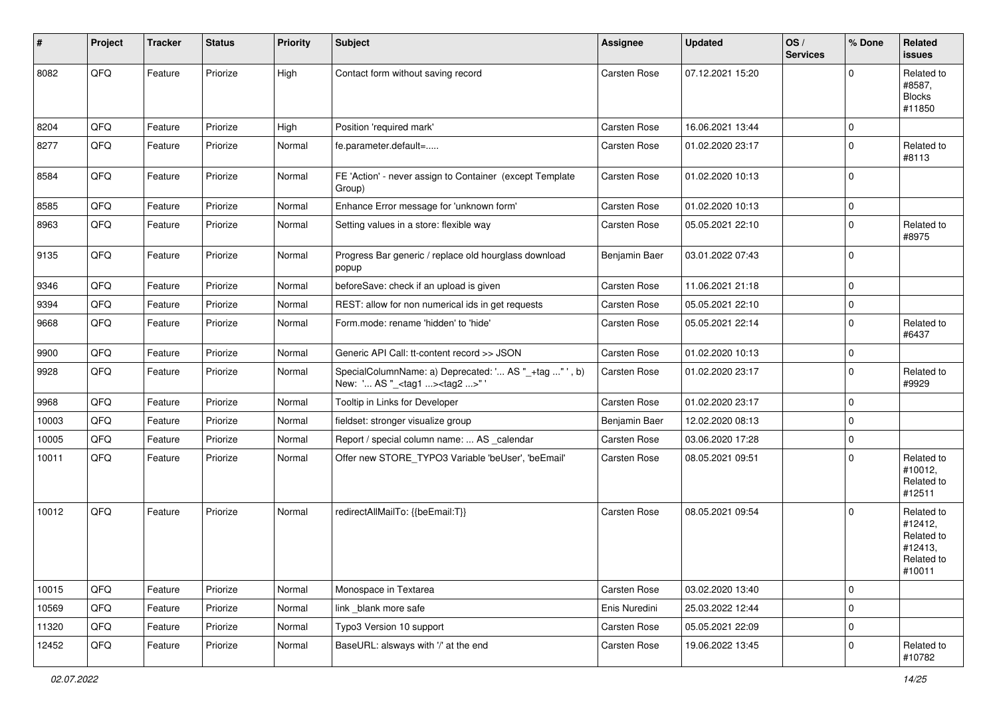| #     | Project | <b>Tracker</b> | <b>Status</b> | <b>Priority</b> | <b>Subject</b>                                                                                    | Assignee      | <b>Updated</b>   | OS/<br><b>Services</b> | % Done      | Related<br>issues                                                      |
|-------|---------|----------------|---------------|-----------------|---------------------------------------------------------------------------------------------------|---------------|------------------|------------------------|-------------|------------------------------------------------------------------------|
| 8082  | QFQ     | Feature        | Priorize      | High            | Contact form without saving record                                                                | Carsten Rose  | 07.12.2021 15:20 |                        | $\Omega$    | Related to<br>#8587,<br><b>Blocks</b><br>#11850                        |
| 8204  | QFQ     | Feature        | Priorize      | High            | Position 'required mark'                                                                          | Carsten Rose  | 16.06.2021 13:44 |                        | $\mathbf 0$ |                                                                        |
| 8277  | QFQ     | Feature        | Priorize      | Normal          | fe.parameter.default=                                                                             | Carsten Rose  | 01.02.2020 23:17 |                        | $\mathbf 0$ | Related to<br>#8113                                                    |
| 8584  | QFQ     | Feature        | Priorize      | Normal          | FE 'Action' - never assign to Container (except Template<br>Group)                                | Carsten Rose  | 01.02.2020 10:13 |                        | $\Omega$    |                                                                        |
| 8585  | QFQ     | Feature        | Priorize      | Normal          | Enhance Error message for 'unknown form'                                                          | Carsten Rose  | 01.02.2020 10:13 |                        | 0           |                                                                        |
| 8963  | QFQ     | Feature        | Priorize      | Normal          | Setting values in a store: flexible way                                                           | Carsten Rose  | 05.05.2021 22:10 |                        | $\Omega$    | Related to<br>#8975                                                    |
| 9135  | QFQ     | Feature        | Priorize      | Normal          | Progress Bar generic / replace old hourglass download<br>popup                                    | Benjamin Baer | 03.01.2022 07:43 |                        | $\Omega$    |                                                                        |
| 9346  | QFQ     | Feature        | Priorize      | Normal          | beforeSave: check if an upload is given                                                           | Carsten Rose  | 11.06.2021 21:18 |                        | $\mathbf 0$ |                                                                        |
| 9394  | QFQ     | Feature        | Priorize      | Normal          | REST: allow for non numerical ids in get requests                                                 | Carsten Rose  | 05.05.2021 22:10 |                        | $\mathbf 0$ |                                                                        |
| 9668  | QFQ     | Feature        | Priorize      | Normal          | Form.mode: rename 'hidden' to 'hide'                                                              | Carsten Rose  | 05.05.2021 22:14 |                        | $\Omega$    | Related to<br>#6437                                                    |
| 9900  | QFQ     | Feature        | Priorize      | Normal          | Generic API Call: tt-content record >> JSON                                                       | Carsten Rose  | 01.02.2020 10:13 |                        | $\mathbf 0$ |                                                                        |
| 9928  | QFQ     | Feature        | Priorize      | Normal          | SpecialColumnName: a) Deprecated: ' AS "_+tag " ', b)<br>New: ' AS "_ <tag1><tag2>"</tag2></tag1> | Carsten Rose  | 01.02.2020 23:17 |                        | $\mathbf 0$ | Related to<br>#9929                                                    |
| 9968  | QFQ     | Feature        | Priorize      | Normal          | Tooltip in Links for Developer                                                                    | Carsten Rose  | 01.02.2020 23:17 |                        | $\mathbf 0$ |                                                                        |
| 10003 | QFQ     | Feature        | Priorize      | Normal          | fieldset: stronger visualize group                                                                | Benjamin Baer | 12.02.2020 08:13 |                        | $\mathbf 0$ |                                                                        |
| 10005 | QFQ     | Feature        | Priorize      | Normal          | Report / special column name:  AS _calendar                                                       | Carsten Rose  | 03.06.2020 17:28 |                        | $\mathbf 0$ |                                                                        |
| 10011 | QFQ     | Feature        | Priorize      | Normal          | Offer new STORE_TYPO3 Variable 'beUser', 'beEmail'                                                | Carsten Rose  | 08.05.2021 09:51 |                        | $\Omega$    | Related to<br>#10012,<br>Related to<br>#12511                          |
| 10012 | QFQ     | Feature        | Priorize      | Normal          | redirectAllMailTo: {{beEmail:T}}                                                                  | Carsten Rose  | 08.05.2021 09:54 |                        | $\Omega$    | Related to<br>#12412,<br>Related to<br>#12413,<br>Related to<br>#10011 |
| 10015 | QFQ     | Feature        | Priorize      | Normal          | Monospace in Textarea                                                                             | Carsten Rose  | 03.02.2020 13:40 |                        | $\pmb{0}$   |                                                                        |
| 10569 | QFG     | Feature        | Priorize      | Normal          | link _blank more safe                                                                             | Enis Nuredini | 25.03.2022 12:44 |                        | $\mathbf 0$ |                                                                        |
| 11320 | QFQ     | Feature        | Priorize      | Normal          | Typo3 Version 10 support                                                                          | Carsten Rose  | 05.05.2021 22:09 |                        | 0           |                                                                        |
| 12452 | QFQ     | Feature        | Priorize      | Normal          | BaseURL: alsways with '/' at the end                                                              | Carsten Rose  | 19.06.2022 13:45 |                        | 0           | Related to<br>#10782                                                   |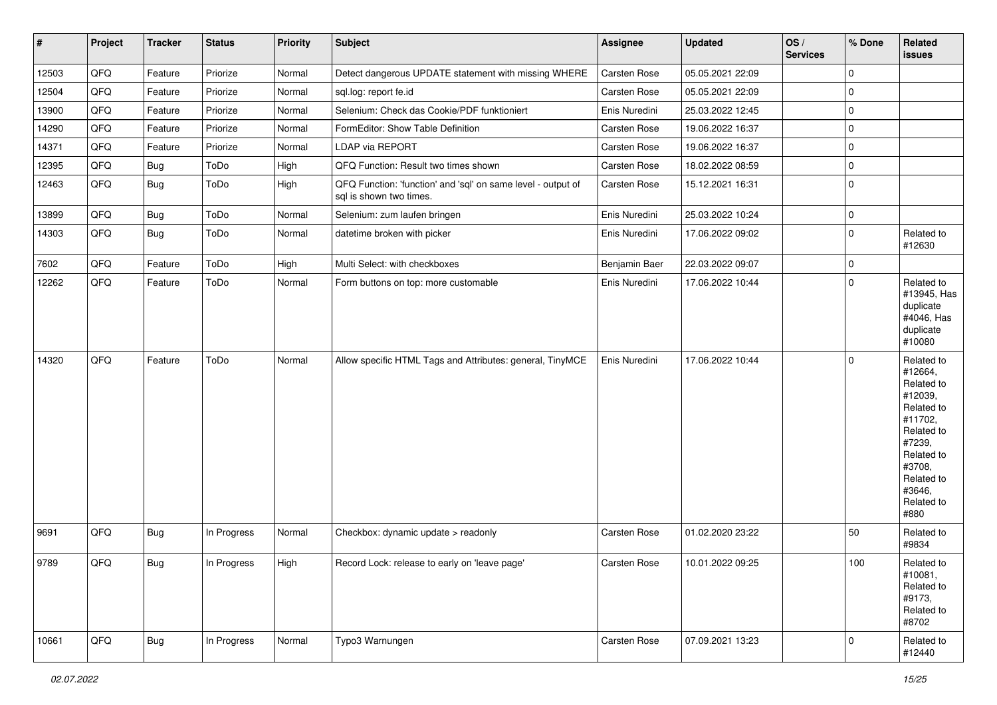| #     | Project | <b>Tracker</b> | <b>Status</b> | <b>Priority</b> | Subject                                                                                 | Assignee            | Updated          | OS/<br><b>Services</b> | % Done      | Related<br><b>issues</b>                                                                                                                                              |
|-------|---------|----------------|---------------|-----------------|-----------------------------------------------------------------------------------------|---------------------|------------------|------------------------|-------------|-----------------------------------------------------------------------------------------------------------------------------------------------------------------------|
| 12503 | QFQ     | Feature        | Priorize      | Normal          | Detect dangerous UPDATE statement with missing WHERE                                    | Carsten Rose        | 05.05.2021 22:09 |                        | $\mathbf 0$ |                                                                                                                                                                       |
| 12504 | QFQ     | Feature        | Priorize      | Normal          | sql.log: report fe.id                                                                   | Carsten Rose        | 05.05.2021 22:09 |                        | $\mathbf 0$ |                                                                                                                                                                       |
| 13900 | QFQ     | Feature        | Priorize      | Normal          | Selenium: Check das Cookie/PDF funktioniert                                             | Enis Nuredini       | 25.03.2022 12:45 |                        | $\mathbf 0$ |                                                                                                                                                                       |
| 14290 | QFQ     | Feature        | Priorize      | Normal          | FormEditor: Show Table Definition                                                       | <b>Carsten Rose</b> | 19.06.2022 16:37 |                        | $\mathbf 0$ |                                                                                                                                                                       |
| 14371 | QFQ     | Feature        | Priorize      | Normal          | <b>LDAP via REPORT</b>                                                                  | <b>Carsten Rose</b> | 19.06.2022 16:37 |                        | $\mathbf 0$ |                                                                                                                                                                       |
| 12395 | QFQ     | <b>Bug</b>     | ToDo          | High            | QFQ Function: Result two times shown                                                    | Carsten Rose        | 18.02.2022 08:59 |                        | $\mathbf 0$ |                                                                                                                                                                       |
| 12463 | QFQ     | Bug            | ToDo          | High            | QFQ Function: 'function' and 'sql' on same level - output of<br>sql is shown two times. | Carsten Rose        | 15.12.2021 16:31 |                        | $\mathbf 0$ |                                                                                                                                                                       |
| 13899 | QFQ     | <b>Bug</b>     | ToDo          | Normal          | Selenium: zum laufen bringen                                                            | Enis Nuredini       | 25.03.2022 10:24 |                        | $\mathbf 0$ |                                                                                                                                                                       |
| 14303 | QFQ     | Bug            | ToDo          | Normal          | datetime broken with picker                                                             | Enis Nuredini       | 17.06.2022 09:02 |                        | $\mathbf 0$ | Related to<br>#12630                                                                                                                                                  |
| 7602  | QFQ     | Feature        | ToDo          | High            | Multi Select: with checkboxes                                                           | Benjamin Baer       | 22.03.2022 09:07 |                        | $\mathbf 0$ |                                                                                                                                                                       |
| 12262 | QFQ     | Feature        | ToDo          | Normal          | Form buttons on top: more customable                                                    | Enis Nuredini       | 17.06.2022 10:44 |                        | $\mathbf 0$ | Related to<br>#13945, Has<br>duplicate<br>#4046, Has<br>duplicate<br>#10080                                                                                           |
| 14320 | QFQ     | Feature        | ToDo          | Normal          | Allow specific HTML Tags and Attributes: general, TinyMCE                               | Enis Nuredini       | 17.06.2022 10:44 |                        | 0           | Related to<br>#12664,<br>Related to<br>#12039,<br>Related to<br>#11702,<br>Related to<br>#7239,<br>Related to<br>#3708,<br>Related to<br>#3646,<br>Related to<br>#880 |
| 9691  | QFQ     | <b>Bug</b>     | In Progress   | Normal          | Checkbox: dynamic update > readonly                                                     | <b>Carsten Rose</b> | 01.02.2020 23:22 |                        | 50          | Related to<br>#9834                                                                                                                                                   |
| 9789  | QFQ     | Bug            | In Progress   | High            | Record Lock: release to early on 'leave page'                                           | Carsten Rose        | 10.01.2022 09:25 |                        | $100\,$     | Related to<br>#10081,<br>Related to<br>#9173,<br>Related to<br>#8702                                                                                                  |
| 10661 | QFQ     | <b>Bug</b>     | In Progress   | Normal          | Typo3 Warnungen                                                                         | Carsten Rose        | 07.09.2021 13:23 |                        | $\pmb{0}$   | Related to<br>#12440                                                                                                                                                  |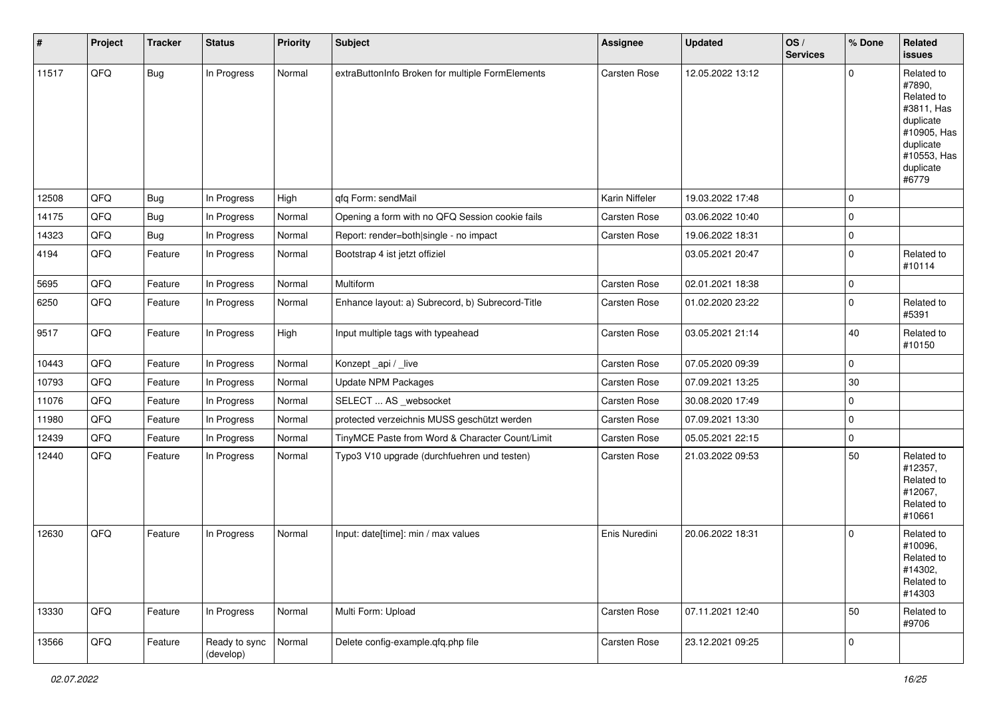| $\vert$ # | Project | <b>Tracker</b> | <b>Status</b>              | <b>Priority</b> | <b>Subject</b>                                   | Assignee            | <b>Updated</b>   | OS/<br><b>Services</b> | % Done      | Related<br>issues                                                                                                              |
|-----------|---------|----------------|----------------------------|-----------------|--------------------------------------------------|---------------------|------------------|------------------------|-------------|--------------------------------------------------------------------------------------------------------------------------------|
| 11517     | QFQ     | Bug            | In Progress                | Normal          | extraButtonInfo Broken for multiple FormElements | Carsten Rose        | 12.05.2022 13:12 |                        | $\mathbf 0$ | Related to<br>#7890,<br>Related to<br>#3811, Has<br>duplicate<br>#10905, Has<br>duplicate<br>#10553, Has<br>duplicate<br>#6779 |
| 12508     | QFQ     | <b>Bug</b>     | In Progress                | High            | qfq Form: sendMail                               | Karin Niffeler      | 19.03.2022 17:48 |                        | $\mathbf 0$ |                                                                                                                                |
| 14175     | QFQ     | <b>Bug</b>     | In Progress                | Normal          | Opening a form with no QFQ Session cookie fails  | Carsten Rose        | 03.06.2022 10:40 |                        | $\mathbf 0$ |                                                                                                                                |
| 14323     | QFQ     | <b>Bug</b>     | In Progress                | Normal          | Report: render=both single - no impact           | Carsten Rose        | 19.06.2022 18:31 |                        | $\mathbf 0$ |                                                                                                                                |
| 4194      | QFQ     | Feature        | In Progress                | Normal          | Bootstrap 4 ist jetzt offiziel                   |                     | 03.05.2021 20:47 |                        | $\mathbf 0$ | Related to<br>#10114                                                                                                           |
| 5695      | QFQ     | Feature        | In Progress                | Normal          | Multiform                                        | Carsten Rose        | 02.01.2021 18:38 |                        | $\mathbf 0$ |                                                                                                                                |
| 6250      | QFQ     | Feature        | In Progress                | Normal          | Enhance layout: a) Subrecord, b) Subrecord-Title | <b>Carsten Rose</b> | 01.02.2020 23:22 |                        | $\mathbf 0$ | Related to<br>#5391                                                                                                            |
| 9517      | QFQ     | Feature        | In Progress                | High            | Input multiple tags with typeahead               | Carsten Rose        | 03.05.2021 21:14 |                        | 40          | Related to<br>#10150                                                                                                           |
| 10443     | QFQ     | Feature        | In Progress                | Normal          | Konzept_api / _live                              | Carsten Rose        | 07.05.2020 09:39 |                        | $\mathbf 0$ |                                                                                                                                |
| 10793     | QFQ     | Feature        | In Progress                | Normal          | Update NPM Packages                              | Carsten Rose        | 07.09.2021 13:25 |                        | $30\,$      |                                                                                                                                |
| 11076     | QFQ     | Feature        | In Progress                | Normal          | SELECT  AS _websocket                            | Carsten Rose        | 30.08.2020 17:49 |                        | $\mathbf 0$ |                                                                                                                                |
| 11980     | QFQ     | Feature        | In Progress                | Normal          | protected verzeichnis MUSS geschützt werden      | Carsten Rose        | 07.09.2021 13:30 |                        | $\mathbf 0$ |                                                                                                                                |
| 12439     | QFQ     | Feature        | In Progress                | Normal          | TinyMCE Paste from Word & Character Count/Limit  | Carsten Rose        | 05.05.2021 22:15 |                        | $\mathbf 0$ |                                                                                                                                |
| 12440     | QFQ     | Feature        | In Progress                | Normal          | Typo3 V10 upgrade (durchfuehren und testen)      | Carsten Rose        | 21.03.2022 09:53 |                        | 50          | Related to<br>#12357,<br>Related to<br>#12067,<br>Related to<br>#10661                                                         |
| 12630     | QFQ     | Feature        | In Progress                | Normal          | Input: date[time]: min / max values              | Enis Nuredini       | 20.06.2022 18:31 |                        | $\Omega$    | Related to<br>#10096,<br>Related to<br>#14302,<br>Related to<br>#14303                                                         |
| 13330     | QFQ     | Feature        | In Progress                | Normal          | Multi Form: Upload                               | Carsten Rose        | 07.11.2021 12:40 |                        | 50          | Related to<br>#9706                                                                                                            |
| 13566     | QFQ     | Feature        | Ready to sync<br>(develop) | Normal          | Delete config-example.qfq.php file               | Carsten Rose        | 23.12.2021 09:25 |                        | $\mathbf 0$ |                                                                                                                                |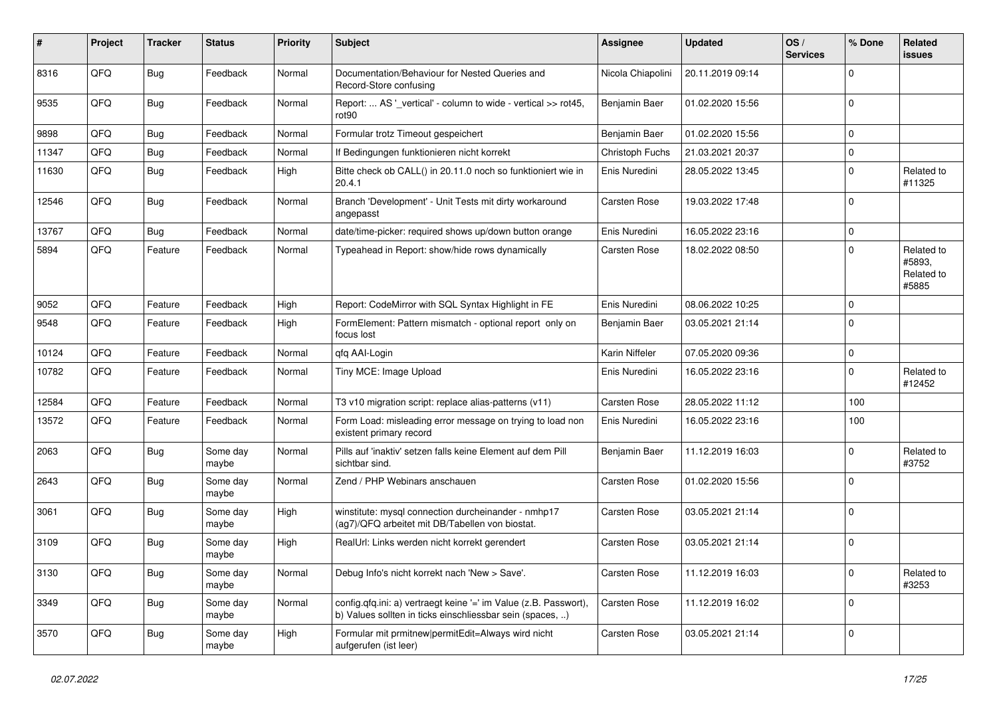| #     | Project | <b>Tracker</b> | <b>Status</b>     | <b>Priority</b> | <b>Subject</b>                                                                                                                | Assignee            | <b>Updated</b>   | OS/<br><b>Services</b> | % Done      | Related<br><b>issues</b>                    |
|-------|---------|----------------|-------------------|-----------------|-------------------------------------------------------------------------------------------------------------------------------|---------------------|------------------|------------------------|-------------|---------------------------------------------|
| 8316  | QFQ     | <b>Bug</b>     | Feedback          | Normal          | Documentation/Behaviour for Nested Queries and<br>Record-Store confusing                                                      | Nicola Chiapolini   | 20.11.2019 09:14 |                        | $\mathbf 0$ |                                             |
| 9535  | QFQ     | <b>Bug</b>     | Feedback          | Normal          | Report:  AS '_vertical' - column to wide - vertical >> rot45,<br>rot <sub>90</sub>                                            | Benjamin Baer       | 01.02.2020 15:56 |                        | $\mathbf 0$ |                                             |
| 9898  | QFQ     | <b>Bug</b>     | Feedback          | Normal          | Formular trotz Timeout gespeichert                                                                                            | Benjamin Baer       | 01.02.2020 15:56 |                        | $\mathbf 0$ |                                             |
| 11347 | QFQ     | <b>Bug</b>     | Feedback          | Normal          | If Bedingungen funktionieren nicht korrekt                                                                                    | Christoph Fuchs     | 21.03.2021 20:37 |                        | $\mathbf 0$ |                                             |
| 11630 | QFQ     | <b>Bug</b>     | Feedback          | High            | Bitte check ob CALL() in 20.11.0 noch so funktioniert wie in<br>20.4.1                                                        | Enis Nuredini       | 28.05.2022 13:45 |                        | 0           | Related to<br>#11325                        |
| 12546 | QFQ     | <b>Bug</b>     | Feedback          | Normal          | Branch 'Development' - Unit Tests mit dirty workaround<br>angepasst                                                           | <b>Carsten Rose</b> | 19.03.2022 17:48 |                        | $\mathbf 0$ |                                             |
| 13767 | QFQ     | <b>Bug</b>     | Feedback          | Normal          | date/time-picker: required shows up/down button orange                                                                        | Enis Nuredini       | 16.05.2022 23:16 |                        | $\mathbf 0$ |                                             |
| 5894  | QFQ     | Feature        | Feedback          | Normal          | Typeahead in Report: show/hide rows dynamically                                                                               | <b>Carsten Rose</b> | 18.02.2022 08:50 |                        | $\mathbf 0$ | Related to<br>#5893,<br>Related to<br>#5885 |
| 9052  | QFQ     | Feature        | Feedback          | High            | Report: CodeMirror with SQL Syntax Highlight in FE                                                                            | Enis Nuredini       | 08.06.2022 10:25 |                        | $\mathbf 0$ |                                             |
| 9548  | QFQ     | Feature        | Feedback          | High            | FormElement: Pattern mismatch - optional report only on<br>focus lost                                                         | Benjamin Baer       | 03.05.2021 21:14 |                        | $\mathbf 0$ |                                             |
| 10124 | QFQ     | Feature        | Feedback          | Normal          | qfq AAI-Login                                                                                                                 | Karin Niffeler      | 07.05.2020 09:36 |                        | $\mathbf 0$ |                                             |
| 10782 | QFQ     | Feature        | Feedback          | Normal          | Tiny MCE: Image Upload                                                                                                        | Enis Nuredini       | 16.05.2022 23:16 |                        | $\mathbf 0$ | Related to<br>#12452                        |
| 12584 | QFQ     | Feature        | Feedback          | Normal          | T3 v10 migration script: replace alias-patterns (v11)                                                                         | Carsten Rose        | 28.05.2022 11:12 |                        | 100         |                                             |
| 13572 | QFQ     | Feature        | Feedback          | Normal          | Form Load: misleading error message on trying to load non<br>existent primary record                                          | Enis Nuredini       | 16.05.2022 23:16 |                        | 100         |                                             |
| 2063  | QFQ     | <b>Bug</b>     | Some day<br>maybe | Normal          | Pills auf 'inaktiv' setzen falls keine Element auf dem Pill<br>sichtbar sind.                                                 | Benjamin Baer       | 11.12.2019 16:03 |                        | $\mathbf 0$ | Related to<br>#3752                         |
| 2643  | QFQ     | <b>Bug</b>     | Some day<br>maybe | Normal          | Zend / PHP Webinars anschauen                                                                                                 | Carsten Rose        | 01.02.2020 15:56 |                        | $\mathbf 0$ |                                             |
| 3061  | QFQ     | <b>Bug</b>     | Some day<br>maybe | High            | winstitute: mysql connection durcheinander - nmhp17<br>(ag7)/QFQ arbeitet mit DB/Tabellen von biostat.                        | <b>Carsten Rose</b> | 03.05.2021 21:14 |                        | $\mathbf 0$ |                                             |
| 3109  | QFQ     | <b>Bug</b>     | Some day<br>maybe | High            | RealUrl: Links werden nicht korrekt gerendert                                                                                 | <b>Carsten Rose</b> | 03.05.2021 21:14 |                        | $\mathbf 0$ |                                             |
| 3130  | QFQ     | <b>Bug</b>     | Some day<br>maybe | Normal          | Debug Info's nicht korrekt nach 'New > Save'.                                                                                 | Carsten Rose        | 11.12.2019 16:03 |                        | $\pmb{0}$   | Related to<br>#3253                         |
| 3349  | QFQ     | Bug            | Some day<br>maybe | Normal          | config.qfq.ini: a) vertraegt keine '=' im Value (z.B. Passwort),<br>b) Values sollten in ticks einschliessbar sein (spaces, ) | Carsten Rose        | 11.12.2019 16:02 |                        | $\mathbf 0$ |                                             |
| 3570  | QFQ     | <b>Bug</b>     | Some day<br>maybe | High            | Formular mit prmitnew permitEdit=Always wird nicht<br>aufgerufen (ist leer)                                                   | Carsten Rose        | 03.05.2021 21:14 |                        | $\pmb{0}$   |                                             |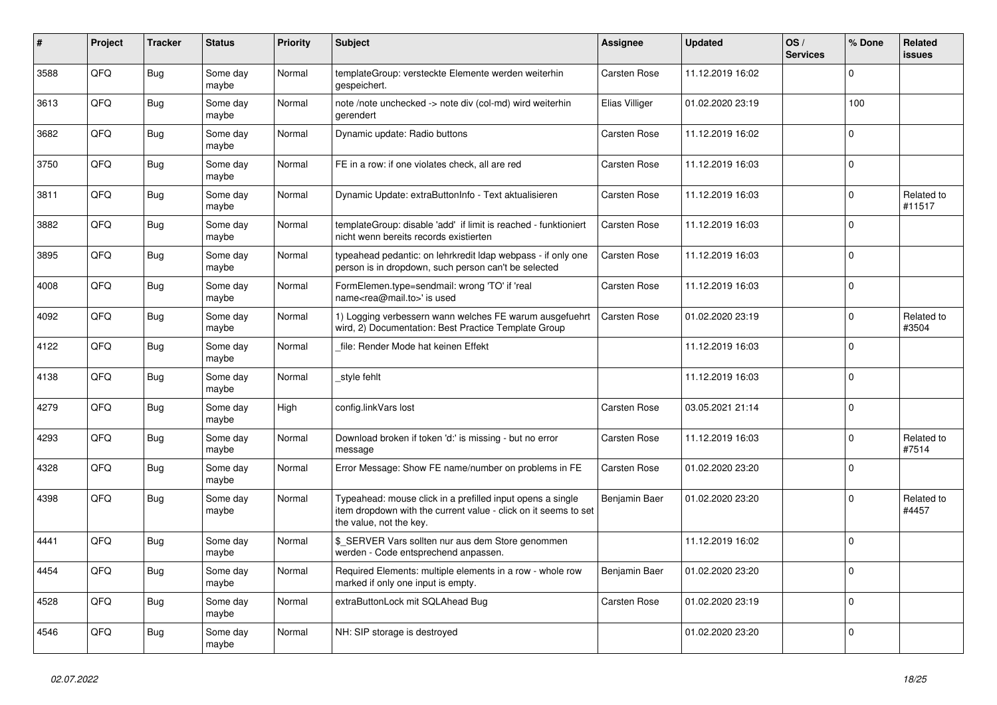| #    | Project | <b>Tracker</b> | <b>Status</b>     | <b>Priority</b> | <b>Subject</b>                                                                                                                                           | <b>Assignee</b>     | <b>Updated</b>   | OS/<br><b>Services</b> | % Done      | <b>Related</b><br><b>issues</b> |
|------|---------|----------------|-------------------|-----------------|----------------------------------------------------------------------------------------------------------------------------------------------------------|---------------------|------------------|------------------------|-------------|---------------------------------|
| 3588 | QFQ     | <b>Bug</b>     | Some dav<br>maybe | Normal          | templateGroup: versteckte Elemente werden weiterhin<br>gespeichert.                                                                                      | Carsten Rose        | 11.12.2019 16:02 |                        | $\Omega$    |                                 |
| 3613 | QFQ     | <b>Bug</b>     | Some day<br>maybe | Normal          | note /note unchecked -> note div (col-md) wird weiterhin<br>gerendert                                                                                    | Elias Villiger      | 01.02.2020 23:19 |                        | 100         |                                 |
| 3682 | QFQ     | <b>Bug</b>     | Some day<br>maybe | Normal          | Dynamic update: Radio buttons                                                                                                                            | <b>Carsten Rose</b> | 11.12.2019 16:02 |                        | $\Omega$    |                                 |
| 3750 | QFQ     | Bug            | Some day<br>maybe | Normal          | FE in a row: if one violates check, all are red                                                                                                          | <b>Carsten Rose</b> | 11.12.2019 16:03 |                        | $\mathbf 0$ |                                 |
| 3811 | QFQ     | Bug            | Some day<br>maybe | Normal          | Dynamic Update: extraButtonInfo - Text aktualisieren                                                                                                     | Carsten Rose        | 11.12.2019 16:03 |                        | $\mathbf 0$ | Related to<br>#11517            |
| 3882 | QFQ     | <b>Bug</b>     | Some day<br>maybe | Normal          | templateGroup: disable 'add' if limit is reached - funktioniert<br>nicht wenn bereits records existierten                                                | <b>Carsten Rose</b> | 11.12.2019 16:03 |                        | $\mathbf 0$ |                                 |
| 3895 | QFQ     | Bug            | Some day<br>maybe | Normal          | typeahead pedantic: on lehrkredit Idap webpass - if only one<br>person is in dropdown, such person can't be selected                                     | Carsten Rose        | 11.12.2019 16:03 |                        | $\Omega$    |                                 |
| 4008 | QFQ     | <b>Bug</b>     | Some day<br>maybe | Normal          | FormElemen.type=sendmail: wrong 'TO' if 'real<br>name <rea@mail.to>' is used</rea@mail.to>                                                               | <b>Carsten Rose</b> | 11.12.2019 16:03 |                        | $\Omega$    |                                 |
| 4092 | QFQ     | <b>Bug</b>     | Some day<br>maybe | Normal          | 1) Logging verbessern wann welches FE warum ausgefuehrt<br>wird, 2) Documentation: Best Practice Template Group                                          | Carsten Rose        | 01.02.2020 23:19 |                        | $\mathbf 0$ | Related to<br>#3504             |
| 4122 | QFQ     | <b>Bug</b>     | Some day<br>maybe | Normal          | file: Render Mode hat keinen Effekt                                                                                                                      |                     | 11.12.2019 16:03 |                        | $\mathbf 0$ |                                 |
| 4138 | QFQ     | Bug            | Some day<br>maybe | Normal          | style fehlt                                                                                                                                              |                     | 11.12.2019 16:03 |                        | $\mathbf 0$ |                                 |
| 4279 | QFQ     | Bug            | Some day<br>maybe | High            | config.linkVars lost                                                                                                                                     | Carsten Rose        | 03.05.2021 21:14 |                        | $\mathbf 0$ |                                 |
| 4293 | QFQ     | Bug            | Some day<br>maybe | Normal          | Download broken if token 'd:' is missing - but no error<br>message                                                                                       | Carsten Rose        | 11.12.2019 16:03 |                        | $\mathbf 0$ | Related to<br>#7514             |
| 4328 | QFQ     | <b>Bug</b>     | Some day<br>maybe | Normal          | Error Message: Show FE name/number on problems in FE                                                                                                     | Carsten Rose        | 01.02.2020 23:20 |                        | $\Omega$    |                                 |
| 4398 | QFQ     | Bug            | Some day<br>maybe | Normal          | Typeahead: mouse click in a prefilled input opens a single<br>item dropdown with the current value - click on it seems to set<br>the value, not the key. | Benjamin Baer       | 01.02.2020 23:20 |                        | $\mathbf 0$ | Related to<br>#4457             |
| 4441 | QFQ     | <b>Bug</b>     | Some day<br>maybe | Normal          | \$ SERVER Vars sollten nur aus dem Store genommen<br>werden - Code entsprechend anpassen.                                                                |                     | 11.12.2019 16:02 |                        | $\mathbf 0$ |                                 |
| 4454 | QFQ     | <b>Bug</b>     | Some day<br>maybe | Normal          | Required Elements: multiple elements in a row - whole row<br>marked if only one input is empty.                                                          | Benjamin Baer       | 01.02.2020 23:20 |                        | $\mathbf 0$ |                                 |
| 4528 | QFQ     | <b>Bug</b>     | Some day<br>maybe | Normal          | extraButtonLock mit SQLAhead Bug                                                                                                                         | <b>Carsten Rose</b> | 01.02.2020 23:19 |                        | $\Omega$    |                                 |
| 4546 | QFQ     | Bug            | Some day<br>maybe | Normal          | NH: SIP storage is destroyed                                                                                                                             |                     | 01.02.2020 23:20 |                        | $\mathbf 0$ |                                 |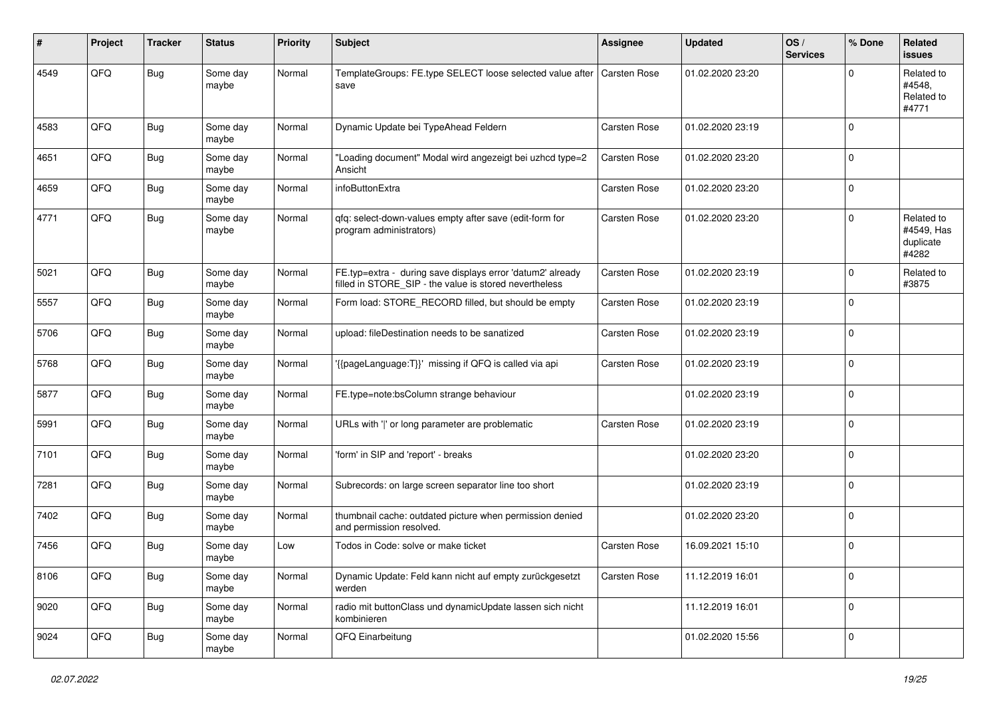| #    | Project | <b>Tracker</b> | <b>Status</b>     | <b>Priority</b> | <b>Subject</b>                                                                                                       | <b>Assignee</b> | <b>Updated</b>   | OS/<br><b>Services</b> | % Done      | <b>Related</b><br>issues                       |
|------|---------|----------------|-------------------|-----------------|----------------------------------------------------------------------------------------------------------------------|-----------------|------------------|------------------------|-------------|------------------------------------------------|
| 4549 | QFQ     | <b>Bug</b>     | Some day<br>maybe | Normal          | TemplateGroups: FE.type SELECT loose selected value after<br>save                                                    | Carsten Rose    | 01.02.2020 23:20 |                        | $\mathbf 0$ | Related to<br>#4548.<br>Related to<br>#4771    |
| 4583 | QFQ     | <b>Bug</b>     | Some day<br>maybe | Normal          | Dynamic Update bei TypeAhead Feldern                                                                                 | Carsten Rose    | 01.02.2020 23:19 |                        | $\Omega$    |                                                |
| 4651 | QFQ     | Bug            | Some day<br>maybe | Normal          | "Loading document" Modal wird angezeigt bei uzhcd type=2<br>Ansicht                                                  | Carsten Rose    | 01.02.2020 23:20 |                        | $\mathbf 0$ |                                                |
| 4659 | QFQ     | <b>Bug</b>     | Some day<br>maybe | Normal          | infoButtonExtra                                                                                                      | Carsten Rose    | 01.02.2020 23:20 |                        | $\mathbf 0$ |                                                |
| 4771 | QFQ     | Bug            | Some day<br>maybe | Normal          | qfq: select-down-values empty after save (edit-form for<br>program administrators)                                   | Carsten Rose    | 01.02.2020 23:20 |                        | $\mathbf 0$ | Related to<br>#4549, Has<br>duplicate<br>#4282 |
| 5021 | QFQ     | Bug            | Some day<br>maybe | Normal          | FE.typ=extra - during save displays error 'datum2' already<br>filled in STORE_SIP - the value is stored nevertheless | Carsten Rose    | 01.02.2020 23:19 |                        | $\mathbf 0$ | Related to<br>#3875                            |
| 5557 | QFQ     | Bug            | Some day<br>maybe | Normal          | Form load: STORE_RECORD filled, but should be empty                                                                  | Carsten Rose    | 01.02.2020 23:19 |                        | 0           |                                                |
| 5706 | QFQ     | Bug            | Some day<br>maybe | Normal          | upload: fileDestination needs to be sanatized                                                                        | Carsten Rose    | 01.02.2020 23:19 |                        | $\mathbf 0$ |                                                |
| 5768 | QFQ     | Bug            | Some day<br>maybe | Normal          | '{{pageLanguage:T}}' missing if QFQ is called via api                                                                | Carsten Rose    | 01.02.2020 23:19 |                        | $\mathbf 0$ |                                                |
| 5877 | QFQ     | <b>Bug</b>     | Some day<br>maybe | Normal          | FE.type=note:bsColumn strange behaviour                                                                              |                 | 01.02.2020 23:19 |                        | $\mathbf 0$ |                                                |
| 5991 | QFQ     | Bug            | Some day<br>maybe | Normal          | URLs with ' ' or long parameter are problematic                                                                      | Carsten Rose    | 01.02.2020 23:19 |                        | $\mathbf 0$ |                                                |
| 7101 | QFQ     | <b>Bug</b>     | Some day<br>maybe | Normal          | 'form' in SIP and 'report' - breaks                                                                                  |                 | 01.02.2020 23:20 |                        | $\mathbf 0$ |                                                |
| 7281 | QFQ     | Bug            | Some day<br>maybe | Normal          | Subrecords: on large screen separator line too short                                                                 |                 | 01.02.2020 23:19 |                        | $\mathbf 0$ |                                                |
| 7402 | QFQ     | Bug            | Some day<br>maybe | Normal          | thumbnail cache: outdated picture when permission denied<br>and permission resolved.                                 |                 | 01.02.2020 23:20 |                        | $\mathbf 0$ |                                                |
| 7456 | QFQ     | Bug            | Some day<br>maybe | Low             | Todos in Code: solve or make ticket                                                                                  | Carsten Rose    | 16.09.2021 15:10 |                        | $\mathbf 0$ |                                                |
| 8106 | QFQ     | Bug            | Some day<br>maybe | Normal          | Dynamic Update: Feld kann nicht auf empty zurückgesetzt<br>werden                                                    | Carsten Rose    | 11.12.2019 16:01 |                        | $\pmb{0}$   |                                                |
| 9020 | QFQ     | <b>Bug</b>     | Some day<br>maybe | Normal          | radio mit buttonClass und dynamicUpdate lassen sich nicht<br>kombinieren                                             |                 | 11.12.2019 16:01 |                        | $\pmb{0}$   |                                                |
| 9024 | QFQ     | Bug            | Some day<br>maybe | Normal          | QFQ Einarbeitung                                                                                                     |                 | 01.02.2020 15:56 |                        | $\pmb{0}$   |                                                |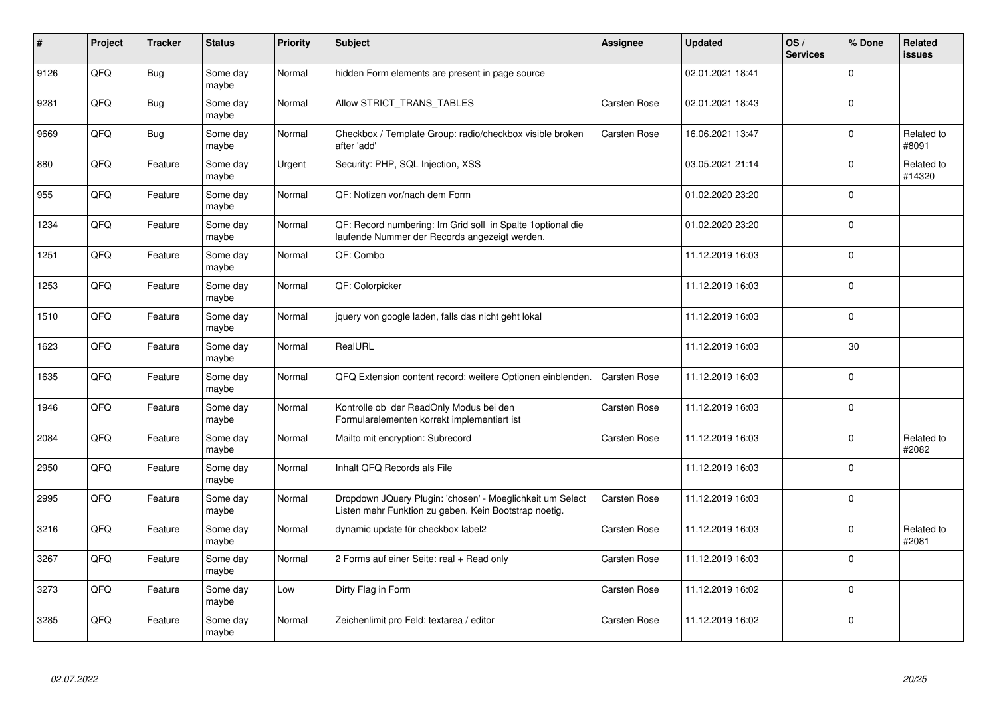| ∦    | Project | <b>Tracker</b> | <b>Status</b>     | <b>Priority</b> | <b>Subject</b>                                                                                                     | <b>Assignee</b>     | <b>Updated</b>   | OS/<br><b>Services</b> | % Done      | <b>Related</b><br><b>issues</b> |
|------|---------|----------------|-------------------|-----------------|--------------------------------------------------------------------------------------------------------------------|---------------------|------------------|------------------------|-------------|---------------------------------|
| 9126 | QFQ     | Bug            | Some day<br>maybe | Normal          | hidden Form elements are present in page source                                                                    |                     | 02.01.2021 18:41 |                        | $\mathbf 0$ |                                 |
| 9281 | QFQ     | <b>Bug</b>     | Some day<br>maybe | Normal          | Allow STRICT_TRANS_TABLES                                                                                          | Carsten Rose        | 02.01.2021 18:43 |                        | $\Omega$    |                                 |
| 9669 | QFQ     | <b>Bug</b>     | Some day<br>maybe | Normal          | Checkbox / Template Group: radio/checkbox visible broken<br>after 'add'                                            | Carsten Rose        | 16.06.2021 13:47 |                        | $\mathbf 0$ | Related to<br>#8091             |
| 880  | QFQ     | Feature        | Some day<br>maybe | Urgent          | Security: PHP, SQL Injection, XSS                                                                                  |                     | 03.05.2021 21:14 |                        | $\mathbf 0$ | Related to<br>#14320            |
| 955  | QFQ     | Feature        | Some day<br>maybe | Normal          | QF: Notizen vor/nach dem Form                                                                                      |                     | 01.02.2020 23:20 |                        | $\mathbf 0$ |                                 |
| 1234 | QFQ     | Feature        | Some day<br>maybe | Normal          | QF: Record numbering: Im Grid soll in Spalte 1optional die<br>laufende Nummer der Records angezeigt werden.        |                     | 01.02.2020 23:20 |                        | $\mathbf 0$ |                                 |
| 1251 | QFQ     | Feature        | Some day<br>maybe | Normal          | QF: Combo                                                                                                          |                     | 11.12.2019 16:03 |                        | $\mathbf 0$ |                                 |
| 1253 | QFQ     | Feature        | Some day<br>maybe | Normal          | QF: Colorpicker                                                                                                    |                     | 11.12.2019 16:03 |                        | $\Omega$    |                                 |
| 1510 | QFQ     | Feature        | Some day<br>maybe | Normal          | jquery von google laden, falls das nicht geht lokal                                                                |                     | 11.12.2019 16:03 |                        | $\Omega$    |                                 |
| 1623 | QFQ     | Feature        | Some day<br>maybe | Normal          | RealURL                                                                                                            |                     | 11.12.2019 16:03 |                        | 30          |                                 |
| 1635 | QFQ     | Feature        | Some day<br>maybe | Normal          | QFQ Extension content record: weitere Optionen einblenden.                                                         | <b>Carsten Rose</b> | 11.12.2019 16:03 |                        | $\mathbf 0$ |                                 |
| 1946 | QFQ     | Feature        | Some day<br>maybe | Normal          | Kontrolle ob der ReadOnly Modus bei den<br>Formularelementen korrekt implementiert ist                             | <b>Carsten Rose</b> | 11.12.2019 16:03 |                        | $\Omega$    |                                 |
| 2084 | QFQ     | Feature        | Some day<br>maybe | Normal          | Mailto mit encryption: Subrecord                                                                                   | <b>Carsten Rose</b> | 11.12.2019 16:03 |                        | $\mathbf 0$ | Related to<br>#2082             |
| 2950 | QFQ     | Feature        | Some day<br>maybe | Normal          | Inhalt QFQ Records als File                                                                                        |                     | 11.12.2019 16:03 |                        | $\mathbf 0$ |                                 |
| 2995 | QFQ     | Feature        | Some day<br>maybe | Normal          | Dropdown JQuery Plugin: 'chosen' - Moeglichkeit um Select<br>Listen mehr Funktion zu geben. Kein Bootstrap noetig. | <b>Carsten Rose</b> | 11.12.2019 16:03 |                        | $\mathbf 0$ |                                 |
| 3216 | QFQ     | Feature        | Some day<br>maybe | Normal          | dynamic update für checkbox label2                                                                                 | <b>Carsten Rose</b> | 11.12.2019 16:03 |                        | $\mathbf 0$ | Related to<br>#2081             |
| 3267 | QFQ     | Feature        | Some day<br>maybe | Normal          | 2 Forms auf einer Seite: real + Read only                                                                          | <b>Carsten Rose</b> | 11.12.2019 16:03 |                        | $\mathbf 0$ |                                 |
| 3273 | QFQ     | Feature        | Some day<br>maybe | Low             | Dirty Flag in Form                                                                                                 | <b>Carsten Rose</b> | 11.12.2019 16:02 |                        | $\mathbf 0$ |                                 |
| 3285 | QFQ     | Feature        | Some day<br>maybe | Normal          | Zeichenlimit pro Feld: textarea / editor                                                                           | Carsten Rose        | 11.12.2019 16:02 |                        | $\mathbf 0$ |                                 |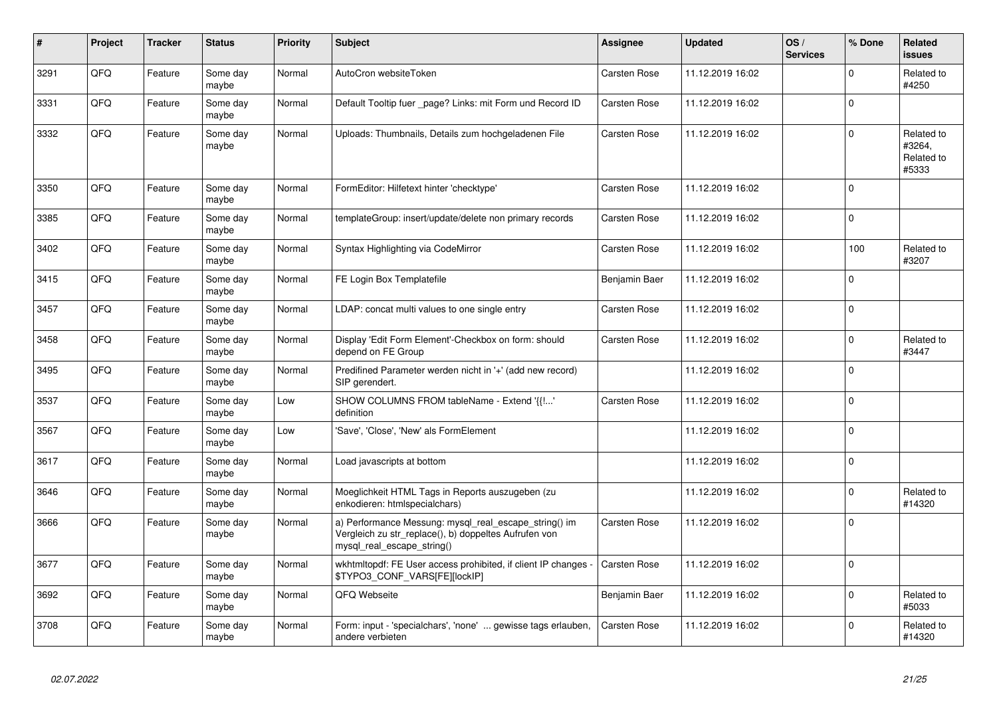| #    | Project | <b>Tracker</b> | <b>Status</b>     | <b>Priority</b> | <b>Subject</b>                                                                                                                               | <b>Assignee</b>     | <b>Updated</b>   | OS/<br><b>Services</b> | % Done      | Related<br><b>issues</b>                    |
|------|---------|----------------|-------------------|-----------------|----------------------------------------------------------------------------------------------------------------------------------------------|---------------------|------------------|------------------------|-------------|---------------------------------------------|
| 3291 | QFQ     | Feature        | Some day<br>maybe | Normal          | AutoCron websiteToken                                                                                                                        | Carsten Rose        | 11.12.2019 16:02 |                        | $\mathbf 0$ | Related to<br>#4250                         |
| 3331 | QFQ     | Feature        | Some day<br>maybe | Normal          | Default Tooltip fuer page? Links: mit Form und Record ID                                                                                     | <b>Carsten Rose</b> | 11.12.2019 16:02 |                        | $\mathbf 0$ |                                             |
| 3332 | QFQ     | Feature        | Some day<br>maybe | Normal          | Uploads: Thumbnails, Details zum hochgeladenen File                                                                                          | <b>Carsten Rose</b> | 11.12.2019 16:02 |                        | $\Omega$    | Related to<br>#3264,<br>Related to<br>#5333 |
| 3350 | QFQ     | Feature        | Some day<br>maybe | Normal          | FormEditor: Hilfetext hinter 'checktype'                                                                                                     | Carsten Rose        | 11.12.2019 16:02 |                        | $\mathbf 0$ |                                             |
| 3385 | QFQ     | Feature        | Some day<br>maybe | Normal          | templateGroup: insert/update/delete non primary records                                                                                      | <b>Carsten Rose</b> | 11.12.2019 16:02 |                        | $\mathbf 0$ |                                             |
| 3402 | QFQ     | Feature        | Some day<br>maybe | Normal          | Syntax Highlighting via CodeMirror                                                                                                           | <b>Carsten Rose</b> | 11.12.2019 16:02 |                        | 100         | Related to<br>#3207                         |
| 3415 | QFQ     | Feature        | Some day<br>maybe | Normal          | FE Login Box Templatefile                                                                                                                    | Benjamin Baer       | 11.12.2019 16:02 |                        | $\Omega$    |                                             |
| 3457 | QFQ     | Feature        | Some day<br>maybe | Normal          | LDAP: concat multi values to one single entry                                                                                                | Carsten Rose        | 11.12.2019 16:02 |                        | $\mathbf 0$ |                                             |
| 3458 | QFQ     | Feature        | Some day<br>maybe | Normal          | Display 'Edit Form Element'-Checkbox on form: should<br>depend on FE Group                                                                   | <b>Carsten Rose</b> | 11.12.2019 16:02 |                        | $\mathbf 0$ | Related to<br>#3447                         |
| 3495 | QFQ     | Feature        | Some day<br>maybe | Normal          | Predifined Parameter werden nicht in '+' (add new record)<br>SIP gerendert.                                                                  |                     | 11.12.2019 16:02 |                        | $\mathbf 0$ |                                             |
| 3537 | QFQ     | Feature        | Some day<br>maybe | Low             | SHOW COLUMNS FROM tableName - Extend '{{!'<br>definition                                                                                     | Carsten Rose        | 11.12.2019 16:02 |                        | $\mathbf 0$ |                                             |
| 3567 | QFQ     | Feature        | Some day<br>maybe | Low             | 'Save', 'Close', 'New' als FormElement                                                                                                       |                     | 11.12.2019 16:02 |                        | $\pmb{0}$   |                                             |
| 3617 | QFQ     | Feature        | Some day<br>maybe | Normal          | Load javascripts at bottom                                                                                                                   |                     | 11.12.2019 16:02 |                        | $\mathbf 0$ |                                             |
| 3646 | QFQ     | Feature        | Some day<br>maybe | Normal          | Moeglichkeit HTML Tags in Reports auszugeben (zu<br>enkodieren: htmlspecialchars)                                                            |                     | 11.12.2019 16:02 |                        | $\mathbf 0$ | Related to<br>#14320                        |
| 3666 | QFQ     | Feature        | Some day<br>maybe | Normal          | a) Performance Messung: mysql_real_escape_string() im<br>Vergleich zu str_replace(), b) doppeltes Aufrufen von<br>mysql real escape string() | Carsten Rose        | 11.12.2019 16:02 |                        | $\mathbf 0$ |                                             |
| 3677 | QFQ     | Feature        | Some day<br>maybe | Normal          | wkhtmltopdf: FE User access prohibited, if client IP changes -<br>\$TYPO3_CONF_VARS[FE][lockIP]                                              | <b>Carsten Rose</b> | 11.12.2019 16:02 |                        | $\Omega$    |                                             |
| 3692 | QFQ     | Feature        | Some day<br>maybe | Normal          | QFQ Webseite                                                                                                                                 | Benjamin Baer       | 11.12.2019 16:02 |                        | $\mathbf 0$ | Related to<br>#5033                         |
| 3708 | QFQ     | Feature        | Some day<br>maybe | Normal          | Form: input - 'specialchars', 'none'  gewisse tags erlauben,<br>andere verbieten                                                             | Carsten Rose        | 11.12.2019 16:02 |                        | $\mathbf 0$ | Related to<br>#14320                        |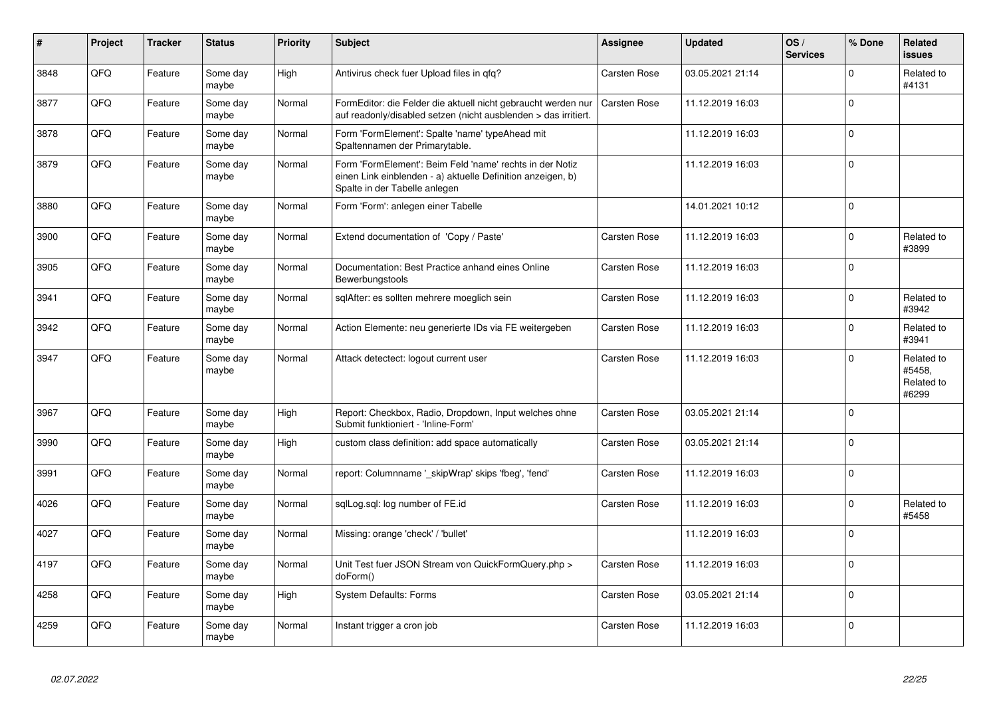| #    | Project | <b>Tracker</b> | <b>Status</b>     | <b>Priority</b> | Subject                                                                                                                                                  | Assignee            | Updated          | OS/<br><b>Services</b> | % Done      | <b>Related</b><br><b>issues</b>             |
|------|---------|----------------|-------------------|-----------------|----------------------------------------------------------------------------------------------------------------------------------------------------------|---------------------|------------------|------------------------|-------------|---------------------------------------------|
| 3848 | QFQ     | Feature        | Some day<br>maybe | High            | Antivirus check fuer Upload files in qfq?                                                                                                                | <b>Carsten Rose</b> | 03.05.2021 21:14 |                        | $\Omega$    | Related to<br>#4131                         |
| 3877 | QFQ     | Feature        | Some day<br>maybe | Normal          | FormEditor: die Felder die aktuell nicht gebraucht werden nur<br>auf readonly/disabled setzen (nicht ausblenden > das irritiert.                         | <b>Carsten Rose</b> | 11.12.2019 16:03 |                        | $\Omega$    |                                             |
| 3878 | QFQ     | Feature        | Some day<br>maybe | Normal          | Form 'FormElement': Spalte 'name' typeAhead mit<br>Spaltennamen der Primarytable.                                                                        |                     | 11.12.2019 16:03 |                        | $\mathbf 0$ |                                             |
| 3879 | QFQ     | Feature        | Some day<br>maybe | Normal          | Form 'FormElement': Beim Feld 'name' rechts in der Notiz<br>einen Link einblenden - a) aktuelle Definition anzeigen, b)<br>Spalte in der Tabelle anlegen |                     | 11.12.2019 16:03 |                        | $\mathbf 0$ |                                             |
| 3880 | QFQ     | Feature        | Some day<br>maybe | Normal          | Form 'Form': anlegen einer Tabelle                                                                                                                       |                     | 14.01.2021 10:12 |                        | $\Omega$    |                                             |
| 3900 | QFQ     | Feature        | Some day<br>maybe | Normal          | Extend documentation of 'Copy / Paste'                                                                                                                   | <b>Carsten Rose</b> | 11.12.2019 16:03 |                        | $\Omega$    | Related to<br>#3899                         |
| 3905 | QFQ     | Feature        | Some day<br>maybe | Normal          | Documentation: Best Practice anhand eines Online<br>Bewerbungstools                                                                                      | <b>Carsten Rose</b> | 11.12.2019 16:03 |                        | $\Omega$    |                                             |
| 3941 | QFQ     | Feature        | Some day<br>maybe | Normal          | sglAfter: es sollten mehrere moeglich sein                                                                                                               | <b>Carsten Rose</b> | 11.12.2019 16:03 |                        | $\mathbf 0$ | Related to<br>#3942                         |
| 3942 | QFQ     | Feature        | Some day<br>maybe | Normal          | Action Elemente: neu generierte IDs via FE weitergeben                                                                                                   | <b>Carsten Rose</b> | 11.12.2019 16:03 |                        | $\Omega$    | Related to<br>#3941                         |
| 3947 | QFQ     | Feature        | Some day<br>maybe | Normal          | Attack detectect: logout current user                                                                                                                    | Carsten Rose        | 11.12.2019 16:03 |                        | $\mathbf 0$ | Related to<br>#5458.<br>Related to<br>#6299 |
| 3967 | QFQ     | Feature        | Some day<br>maybe | High            | Report: Checkbox, Radio, Dropdown, Input welches ohne<br>Submit funktioniert - 'Inline-Form'                                                             | Carsten Rose        | 03.05.2021 21:14 |                        | $\mathbf 0$ |                                             |
| 3990 | QFQ     | Feature        | Some day<br>maybe | High            | custom class definition: add space automatically                                                                                                         | <b>Carsten Rose</b> | 03.05.2021 21:14 |                        | $\mathbf 0$ |                                             |
| 3991 | QFQ     | Feature        | Some day<br>maybe | Normal          | report: Columnname '_skipWrap' skips 'fbeg', 'fend'                                                                                                      | Carsten Rose        | 11.12.2019 16:03 |                        | $\mathbf 0$ |                                             |
| 4026 | QFQ     | Feature        | Some day<br>maybe | Normal          | sglLog.sgl: log number of FE.id                                                                                                                          | <b>Carsten Rose</b> | 11.12.2019 16:03 |                        | $\mathbf 0$ | Related to<br>#5458                         |
| 4027 | QFQ     | Feature        | Some day<br>maybe | Normal          | Missing: orange 'check' / 'bullet'                                                                                                                       |                     | 11.12.2019 16:03 |                        | $\Omega$    |                                             |
| 4197 | QFQ     | Feature        | Some day<br>maybe | Normal          | Unit Test fuer JSON Stream von QuickFormQuery.php ><br>doForm()                                                                                          | Carsten Rose        | 11.12.2019 16:03 |                        | $\Omega$    |                                             |
| 4258 | QFQ     | Feature        | Some day<br>maybe | High            | <b>System Defaults: Forms</b>                                                                                                                            | <b>Carsten Rose</b> | 03.05.2021 21:14 |                        | $\Omega$    |                                             |
| 4259 | QFQ     | Feature        | Some day<br>maybe | Normal          | Instant trigger a cron job                                                                                                                               | <b>Carsten Rose</b> | 11.12.2019 16:03 |                        | $\mathbf 0$ |                                             |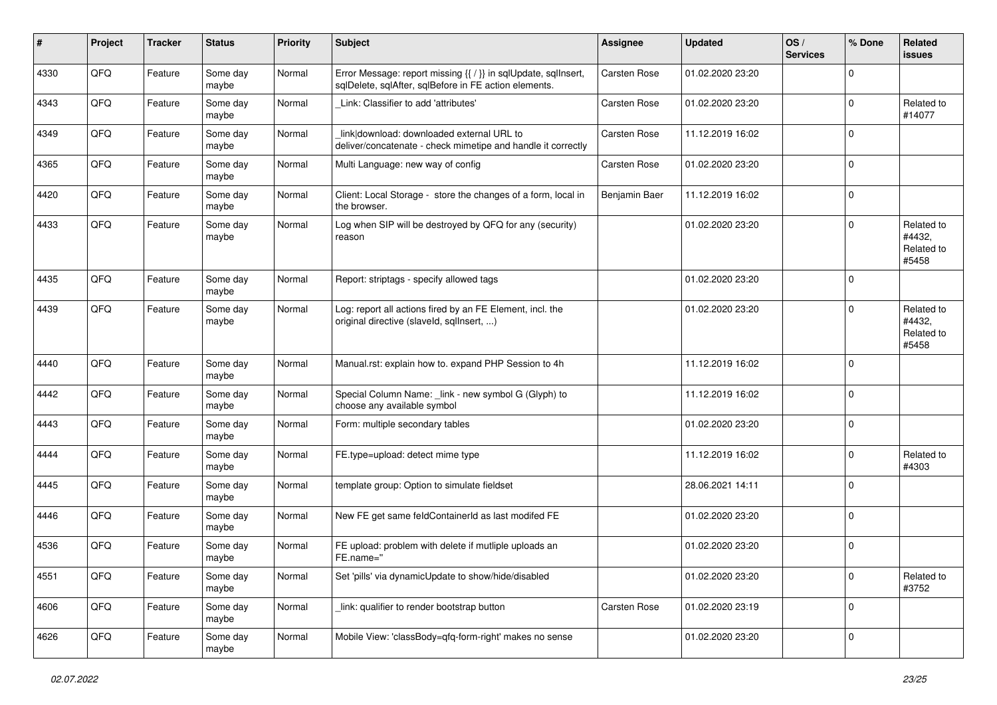| #    | Project | <b>Tracker</b> | <b>Status</b>     | <b>Priority</b> | Subject                                                                                                                 | <b>Assignee</b>     | <b>Updated</b>   | OS/<br><b>Services</b> | % Done      | <b>Related</b><br>issues                    |
|------|---------|----------------|-------------------|-----------------|-------------------------------------------------------------------------------------------------------------------------|---------------------|------------------|------------------------|-------------|---------------------------------------------|
| 4330 | QFQ     | Feature        | Some day<br>maybe | Normal          | Error Message: report missing {{ / }} in sqlUpdate, sqlInsert,<br>sqlDelete, sqlAfter, sqlBefore in FE action elements. | Carsten Rose        | 01.02.2020 23:20 |                        | $\mathbf 0$ |                                             |
| 4343 | QFQ     | Feature        | Some day<br>maybe | Normal          | Link: Classifier to add 'attributes'                                                                                    | <b>Carsten Rose</b> | 01.02.2020 23:20 |                        | $\mathbf 0$ | Related to<br>#14077                        |
| 4349 | QFQ     | Feature        | Some day<br>maybe | Normal          | link download: downloaded external URL to<br>deliver/concatenate - check mimetipe and handle it correctly               | Carsten Rose        | 11.12.2019 16:02 |                        | $\mathbf 0$ |                                             |
| 4365 | QFQ     | Feature        | Some day<br>maybe | Normal          | Multi Language: new way of config                                                                                       | <b>Carsten Rose</b> | 01.02.2020 23:20 |                        | $\mathbf 0$ |                                             |
| 4420 | QFQ     | Feature        | Some day<br>maybe | Normal          | Client: Local Storage - store the changes of a form, local in<br>the browser.                                           | Benjamin Baer       | 11.12.2019 16:02 |                        | $\mathbf 0$ |                                             |
| 4433 | QFQ     | Feature        | Some day<br>maybe | Normal          | Log when SIP will be destroyed by QFQ for any (security)<br>reason                                                      |                     | 01.02.2020 23:20 |                        | $\Omega$    | Related to<br>#4432,<br>Related to<br>#5458 |
| 4435 | QFQ     | Feature        | Some day<br>maybe | Normal          | Report: striptags - specify allowed tags                                                                                |                     | 01.02.2020 23:20 |                        | $\mathbf 0$ |                                             |
| 4439 | QFQ     | Feature        | Some day<br>maybe | Normal          | Log: report all actions fired by an FE Element, incl. the<br>original directive (slaveld, sqllnsert, )                  |                     | 01.02.2020 23:20 |                        | $\mathbf 0$ | Related to<br>#4432,<br>Related to<br>#5458 |
| 4440 | QFQ     | Feature        | Some day<br>maybe | Normal          | Manual.rst: explain how to. expand PHP Session to 4h                                                                    |                     | 11.12.2019 16:02 |                        | $\mathbf 0$ |                                             |
| 4442 | QFQ     | Feature        | Some day<br>maybe | Normal          | Special Column Name: _link - new symbol G (Glyph) to<br>choose any available symbol                                     |                     | 11.12.2019 16:02 |                        | $\mathbf 0$ |                                             |
| 4443 | QFQ     | Feature        | Some day<br>maybe | Normal          | Form: multiple secondary tables                                                                                         |                     | 01.02.2020 23:20 |                        | $\mathbf 0$ |                                             |
| 4444 | QFQ     | Feature        | Some day<br>maybe | Normal          | FE.type=upload: detect mime type                                                                                        |                     | 11.12.2019 16:02 |                        | $\mathbf 0$ | Related to<br>#4303                         |
| 4445 | QFQ     | Feature        | Some day<br>maybe | Normal          | template group: Option to simulate fieldset                                                                             |                     | 28.06.2021 14:11 |                        | $\mathbf 0$ |                                             |
| 4446 | QFQ     | Feature        | Some day<br>maybe | Normal          | New FE get same feldContainerId as last modifed FE                                                                      |                     | 01.02.2020 23:20 |                        | $\mathbf 0$ |                                             |
| 4536 | QFQ     | Feature        | Some day<br>maybe | Normal          | FE upload: problem with delete if mutliple uploads an<br>FE.name="                                                      |                     | 01.02.2020 23:20 |                        | $\mathbf 0$ |                                             |
| 4551 | QFQ     | Feature        | Some day<br>maybe | Normal          | Set 'pills' via dynamicUpdate to show/hide/disabled                                                                     |                     | 01.02.2020 23:20 |                        | $\mathbf 0$ | Related to<br>#3752                         |
| 4606 | QFQ     | Feature        | Some day<br>maybe | Normal          | link: qualifier to render bootstrap button                                                                              | Carsten Rose        | 01.02.2020 23:19 |                        | $\mathbf 0$ |                                             |
| 4626 | QFG     | Feature        | Some day<br>maybe | Normal          | Mobile View: 'classBody=qfq-form-right' makes no sense                                                                  |                     | 01.02.2020 23:20 |                        | $\mathbf 0$ |                                             |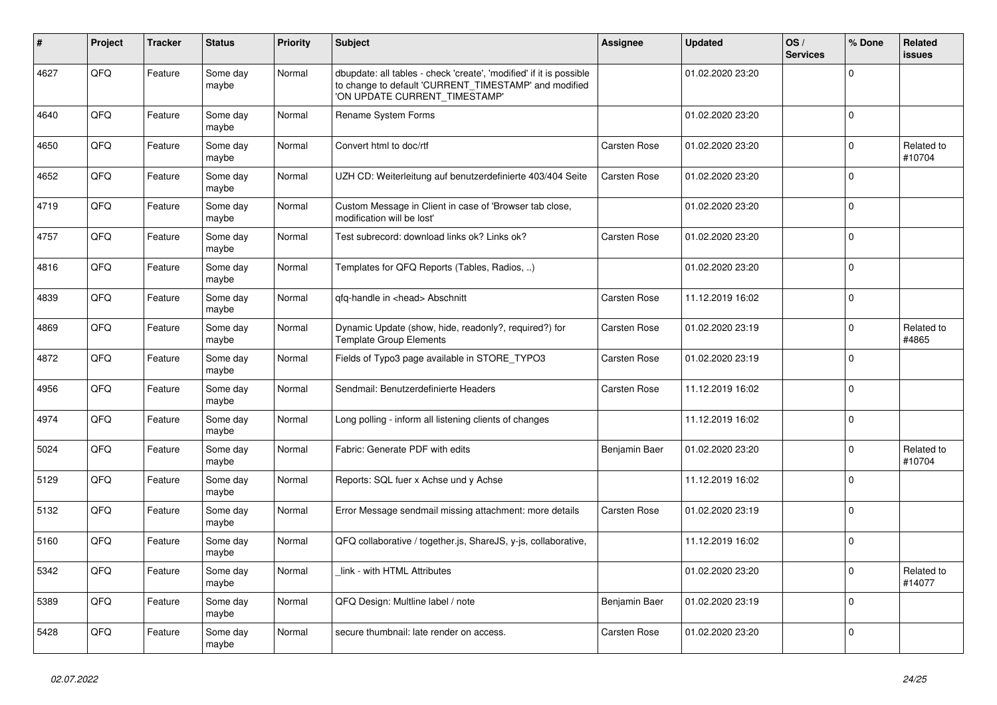| ∦    | Project | <b>Tracker</b> | <b>Status</b>     | <b>Priority</b> | <b>Subject</b>                                                                                                                                                | <b>Assignee</b>     | <b>Updated</b>   | OS/<br><b>Services</b> | % Done      | <b>Related</b><br><b>issues</b> |
|------|---------|----------------|-------------------|-----------------|---------------------------------------------------------------------------------------------------------------------------------------------------------------|---------------------|------------------|------------------------|-------------|---------------------------------|
| 4627 | QFQ     | Feature        | Some day<br>maybe | Normal          | dbupdate: all tables - check 'create', 'modified' if it is possible<br>to change to default 'CURRENT_TIMESTAMP' and modified<br>'ON UPDATE CURRENT TIMESTAMP' |                     | 01.02.2020 23:20 |                        | $\Omega$    |                                 |
| 4640 | QFQ     | Feature        | Some day<br>maybe | Normal          | Rename System Forms                                                                                                                                           |                     | 01.02.2020 23:20 |                        | $\mathbf 0$ |                                 |
| 4650 | QFQ     | Feature        | Some day<br>maybe | Normal          | Convert html to doc/rtf                                                                                                                                       | <b>Carsten Rose</b> | 01.02.2020 23:20 |                        | $\Omega$    | Related to<br>#10704            |
| 4652 | QFQ     | Feature        | Some day<br>maybe | Normal          | UZH CD: Weiterleitung auf benutzerdefinierte 403/404 Seite                                                                                                    | <b>Carsten Rose</b> | 01.02.2020 23:20 |                        | $\mathbf 0$ |                                 |
| 4719 | QFQ     | Feature        | Some day<br>maybe | Normal          | Custom Message in Client in case of 'Browser tab close,<br>modification will be lost'                                                                         |                     | 01.02.2020 23:20 |                        | $\mathbf 0$ |                                 |
| 4757 | QFQ     | Feature        | Some day<br>maybe | Normal          | Test subrecord: download links ok? Links ok?                                                                                                                  | Carsten Rose        | 01.02.2020 23:20 |                        | $\Omega$    |                                 |
| 4816 | QFQ     | Feature        | Some day<br>maybe | Normal          | Templates for QFQ Reports (Tables, Radios, )                                                                                                                  |                     | 01.02.2020 23:20 |                        | $\mathbf 0$ |                                 |
| 4839 | QFQ     | Feature        | Some day<br>maybe | Normal          | qfq-handle in <head> Abschnitt</head>                                                                                                                         | Carsten Rose        | 11.12.2019 16:02 |                        | $\Omega$    |                                 |
| 4869 | QFQ     | Feature        | Some day<br>maybe | Normal          | Dynamic Update (show, hide, readonly?, required?) for<br><b>Template Group Elements</b>                                                                       | <b>Carsten Rose</b> | 01.02.2020 23:19 |                        | $\mathbf 0$ | Related to<br>#4865             |
| 4872 | QFQ     | Feature        | Some day<br>maybe | Normal          | Fields of Typo3 page available in STORE_TYPO3                                                                                                                 | Carsten Rose        | 01.02.2020 23:19 |                        | $\mathbf 0$ |                                 |
| 4956 | QFQ     | Feature        | Some day<br>maybe | Normal          | Sendmail: Benutzerdefinierte Headers                                                                                                                          | Carsten Rose        | 11.12.2019 16:02 |                        | $\Omega$    |                                 |
| 4974 | QFQ     | Feature        | Some day<br>maybe | Normal          | Long polling - inform all listening clients of changes                                                                                                        |                     | 11.12.2019 16:02 |                        | $\mathbf 0$ |                                 |
| 5024 | QFQ     | Feature        | Some day<br>maybe | Normal          | Fabric: Generate PDF with edits                                                                                                                               | Benjamin Baer       | 01.02.2020 23:20 |                        | $\Omega$    | Related to<br>#10704            |
| 5129 | QFQ     | Feature        | Some day<br>maybe | Normal          | Reports: SQL fuer x Achse und y Achse                                                                                                                         |                     | 11.12.2019 16:02 |                        | $\mathbf 0$ |                                 |
| 5132 | QFQ     | Feature        | Some day<br>maybe | Normal          | Error Message sendmail missing attachment: more details                                                                                                       | <b>Carsten Rose</b> | 01.02.2020 23:19 |                        | $\pmb{0}$   |                                 |
| 5160 | QFQ     | Feature        | Some day<br>maybe | Normal          | QFQ collaborative / together.js, ShareJS, y-js, collaborative,                                                                                                |                     | 11.12.2019 16:02 |                        | $\mathbf 0$ |                                 |
| 5342 | QFQ     | Feature        | Some day<br>maybe | Normal          | link - with HTML Attributes                                                                                                                                   |                     | 01.02.2020 23:20 |                        | $\Omega$    | Related to<br>#14077            |
| 5389 | QFQ     | Feature        | Some day<br>maybe | Normal          | QFQ Design: Multline label / note                                                                                                                             | Benjamin Baer       | 01.02.2020 23:19 |                        | $\Omega$    |                                 |
| 5428 | QFQ     | Feature        | Some day<br>maybe | Normal          | secure thumbnail: late render on access.                                                                                                                      | <b>Carsten Rose</b> | 01.02.2020 23:20 |                        | $\mathbf 0$ |                                 |